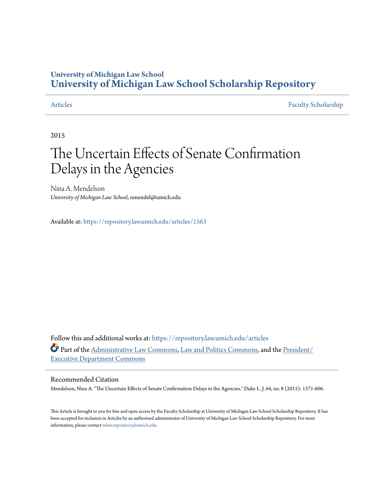# **University of Michigan Law School [University of Michigan Law School Scholarship Repository](https://repository.law.umich.edu?utm_source=repository.law.umich.edu%2Farticles%2F1563&utm_medium=PDF&utm_campaign=PDFCoverPages)**

[Articles](https://repository.law.umich.edu/articles?utm_source=repository.law.umich.edu%2Farticles%2F1563&utm_medium=PDF&utm_campaign=PDFCoverPages) [Faculty Scholarship](https://repository.law.umich.edu/faculty_scholarship?utm_source=repository.law.umich.edu%2Farticles%2F1563&utm_medium=PDF&utm_campaign=PDFCoverPages)

2015

# The Uncertain Effects of Senate Confirmation Delays in the Agencies

Nina A. Mendelson *University of Michigan Law School*, nmendel@umich.edu

Available at: <https://repository.law.umich.edu/articles/1563>

Follow this and additional works at: [https://repository.law.umich.edu/articles](https://repository.law.umich.edu/articles?utm_source=repository.law.umich.edu%2Farticles%2F1563&utm_medium=PDF&utm_campaign=PDFCoverPages) Part of the [Administrative Law Commons,](http://network.bepress.com/hgg/discipline/579?utm_source=repository.law.umich.edu%2Farticles%2F1563&utm_medium=PDF&utm_campaign=PDFCoverPages) [Law and Politics Commons](http://network.bepress.com/hgg/discipline/867?utm_source=repository.law.umich.edu%2Farticles%2F1563&utm_medium=PDF&utm_campaign=PDFCoverPages), and the [President/](http://network.bepress.com/hgg/discipline/1118?utm_source=repository.law.umich.edu%2Farticles%2F1563&utm_medium=PDF&utm_campaign=PDFCoverPages) [Executive Department Commons](http://network.bepress.com/hgg/discipline/1118?utm_source=repository.law.umich.edu%2Farticles%2F1563&utm_medium=PDF&utm_campaign=PDFCoverPages)

### Recommended Citation

Mendelson, Nina A. "The Uncertain Effects of Senate Confirmation Delays in the Agencies." Duke L. J. 64, no. 8 (2015): 1571-606.

This Article is brought to you for free and open access by the Faculty Scholarship at University of Michigan Law School Scholarship Repository. It has been accepted for inclusion in Articles by an authorized administrator of University of Michigan Law School Scholarship Repository. For more information, please contact [mlaw.repository@umich.edu.](mailto:mlaw.repository@umich.edu)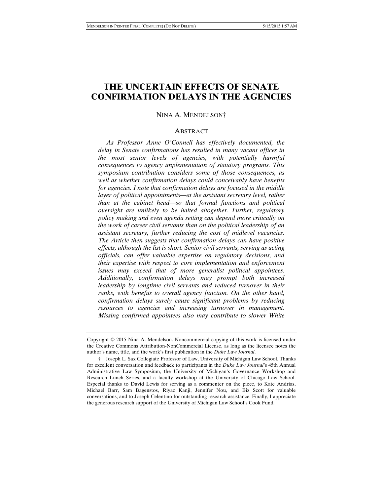## **THE UNCERTAIN EFFECTS OF SENATE CONFIRMATION DELAYS IN THE AGENCIES**

NINA A. MENDELSON†

#### **ABSTRACT**

 *As Professor Anne O'Connell has effectively documented, the delay in Senate confirmations has resulted in many vacant offices in the most senior levels of agencies, with potentially harmful consequences to agency implementation of statutory programs. This symposium contribution considers some of those consequences, as well as whether confirmation delays could conceivably have benefits for agencies. I note that confirmation delays are focused in the middle layer of political appointments—at the assistant secretary level, rather than at the cabinet head—so that formal functions and political oversight are unlikely to be halted altogether. Further, regulatory policy making and even agenda setting can depend more critically on the work of career civil servants than on the political leadership of an assistant secretary, further reducing the cost of midlevel vacancies. The Article then suggests that confirmation delays can have positive effects, although the list is short. Senior civil servants, serving as acting officials, can offer valuable expertise on regulatory decisions, and their expertise with respect to core implementation and enforcement issues may exceed that of more generalist political appointees. Additionally, confirmation delays may prompt both increased leadership by longtime civil servants and reduced turnover in their ranks, with benefits to overall agency function. On the other hand, confirmation delays surely cause significant problems by reducing resources to agencies and increasing turnover in management. Missing confirmed appointees also may contribute to slower White* 

Copyright © 2015 Nina A. Mendelson. Noncommercial copying of this work is licensed under the Creative Commons Attribution-NonCommercial License, as long as the licensee notes the author's name, title, and the work's first publication in the *Duke Law Journal*.

 <sup>†</sup> Joseph L. Sax Collegiate Professor of Law, University of Michigan Law School. Thanks for excellent conversation and feedback to participants in the *Duke Law Journal*'s 45th Annual Administrative Law Symposium, the University of Michigan's Governance Workshop and Research Lunch Series, and a faculty workshop at the University of Chicago Law School. Especial thanks to David Lewis for serving as a commenter on the piece, to Kate Andrias, Michael Barr, Sam Bagenstos, Riyaz Kanji, Jennifer Nou, and Biz Scott for valuable conversations, and to Joseph Celentino for outstanding research assistance. Finally, I appreciate the generous research support of the University of Michigan Law School's Cook Fund.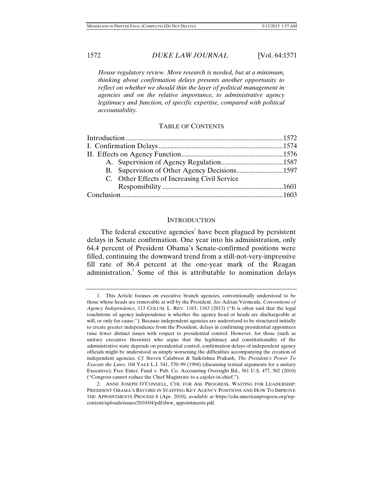*House regulatory review. More research is needed, but at a minimum, thinking about confirmation delays presents another opportunity to reflect on whether we should thin the layer of political management in agencies and on the relative importance, to administrative agency legitimacy and function, of specific expertise, compared with political accountability.* 

#### TABLE OF CONTENTS

|  | C. Other Effects of Increasing Civil Service |  |
|--|----------------------------------------------|--|
|  |                                              |  |
|  |                                              |  |
|  |                                              |  |

#### **INTRODUCTION**

The federal executive agencies<sup>1</sup> have been plagued by persistent delays in Senate confirmation. One year into his administration, only 64.4 percent of President Obama's Senate-confirmed positions were filled, continuing the downward trend from a still-not-very-impressive fill rate of 86.4 percent at the one-year mark of the Reagan administration.<sup>2</sup> Some of this is attributable to nomination delays

 <sup>1.</sup> This Article focuses on executive branch agencies, conventionally understood to be those whose heads are removable at will by the President. *See* Adrian Vermeule, *Conventions of Agency Independence*, 113 COLUM. L. REV. 1163, 1163 (2013) ("It is often said that the legal touchstone of agency independence is whether the agency head or heads are dischargeable at will, or only for cause."). Because independent agencies are understood to be structured initially to create greater independence from the President, delays in confirming presidential appointees raise fewer distinct issues with respect to presidential control. However, for those (such as unitary executive theorists) who argue that the legitimacy and constitutionality of the administrative state depends on presidential control, confirmation delays of independent agency officials might be understood as simply worsening the difficulties accompanying the creation of independent agencies. *Cf.* Steven Calabresi & Saikrishna Prakash, *The President's Power To Execute the Laws*, 104 YALE L.J. 541, 570–99 (1994) (discussing textual arguments for a unitary Executive); Free Enter. Fund v. Pub. Co. Accounting Oversight Bd*.*, 561 U.S. 477, 502 (2010) ("Congress cannot reduce the Chief Magistrate to a cajoler-in-chief.").

 <sup>2.</sup> ANNE JOSEPH O'CONNELL, CTR. FOR AM. PROGRESS, WAITING FOR LEADERSHIP: PRESIDENT OBAMA'S RECORD IN STAFFING KEY AGENCY POSITIONS AND HOW TO IMPROVE THE APPOINTMENTS PROCESS 8 (Apr. 2010), *available at* https://cdn.americanprogress.org/wpcontent/uploads/issues/2010/04/pdf/dww\_appointments.pdf.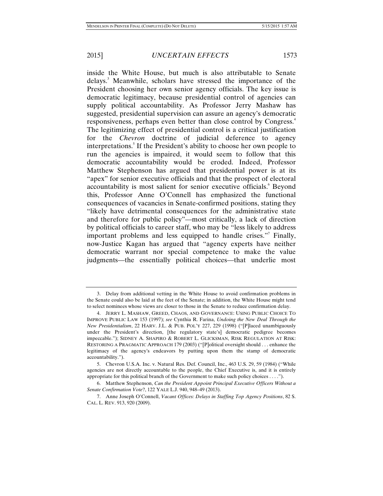inside the White House, but much is also attributable to Senate delays.<sup>3</sup> Meanwhile, scholars have stressed the importance of the President choosing her own senior agency officials. The key issue is democratic legitimacy, because presidential control of agencies can supply political accountability. As Professor Jerry Mashaw has suggested, presidential supervision can assure an agency's democratic responsiveness, perhaps even better than close control by Congress.<sup>4</sup> The legitimizing effect of presidential control is a critical justification for the *Chevron* doctrine of judicial deference to agency interpretations.<sup>5</sup> If the President's ability to choose her own people to run the agencies is impaired, it would seem to follow that this democratic accountability would be eroded. Indeed, Professor Matthew Stephenson has argued that presidential power is at its "apex" for senior executive officials and that the prospect of electoral accountability is most salient for senior executive officials. Beyond this, Professor Anne O'Connell has emphasized the functional consequences of vacancies in Senate-confirmed positions, stating they

"likely have detrimental consequences for the administrative state and therefore for public policy"—most critically, a lack of direction by political officials to career staff, who may be "less likely to address important problems and less equipped to handle crises."<sup>7</sup> Finally, now-Justice Kagan has argued that "agency experts have neither democratic warrant nor special competence to make the value judgments—the essentially political choices—that underlie most

 <sup>3.</sup> Delay from additional vetting in the White House to avoid confirmation problems in the Senate could also be laid at the feet of the Senate; in addition, the White House might tend to select nominees whose views are closer to those in the Senate to reduce confirmation delay.

 <sup>4.</sup> JERRY L. MASHAW, GREED, CHAOS, AND GOVERNANCE: USING PUBLIC CHOICE TO IMPROVE PUBLIC LAW 153 (1997); *see* Cynthia R. Farina, *Undoing the New Deal Through the New Presidentialism*, 22 HARV. J.L. & PUB. POL'Y 227, 229 (1998) ("[P]laced unambiguously under the President's direction, [the regulatory state's] democratic pedigree becomes impeccable."); SIDNEY A. SHAPIRO & ROBERT L. GLICKSMAN, RISK REGULATION AT RISK: RESTORING A PRAGMATIC APPROACH 179 (2003) ("[P]olitical oversight should . . . enhance the legitimacy of the agency's endeavors by putting upon them the stamp of democratic accountability.").

 <sup>5.</sup> Chevron U.S.A. Inc. v. Natural Res. Def. Council, Inc., 463 U.S. 29, 59 (1984) ("While agencies are not directly accountable to the people, the Chief Executive is, and it is entirely appropriate for this political branch of the Government to make such policy choices . . . .").

 <sup>6.</sup> Matthew Stephenson, *Can the President Appoint Principal Executive Officers Without a Senate Confirmation Vote*?, 122 YALE L.J. 940, 948–49 (2013).

 <sup>7.</sup> Anne Joseph O'Connell, *Vacant Offices: Delays in Staffing Top Agency Positions*, 82 S. CAL. L. REV. 913, 920 (2009).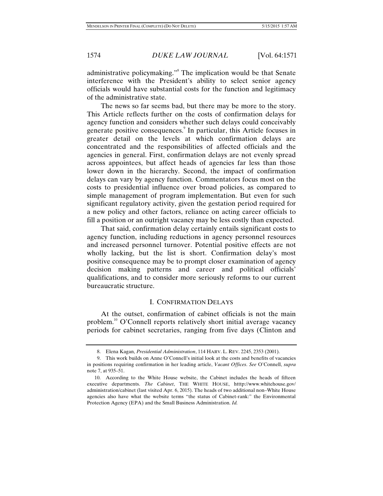administrative policymaking."<sup>8</sup> The implication would be that Senate interference with the President's ability to select senior agency officials would have substantial costs for the function and legitimacy of the administrative state.

The news so far seems bad, but there may be more to the story. This Article reflects further on the costs of confirmation delays for agency function and considers whether such delays could conceivably generate positive consequences.<sup>9</sup> In particular, this Article focuses in greater detail on the levels at which confirmation delays are concentrated and the responsibilities of affected officials and the agencies in general. First, confirmation delays are not evenly spread across appointees, but affect heads of agencies far less than those lower down in the hierarchy. Second, the impact of confirmation delays can vary by agency function. Commentators focus most on the costs to presidential influence over broad policies, as compared to simple management of program implementation. But even for such significant regulatory activity, given the gestation period required for a new policy and other factors, reliance on acting career officials to fill a position or an outright vacancy may be less costly than expected.

That said, confirmation delay certainly entails significant costs to agency function, including reductions in agency personnel resources and increased personnel turnover. Potential positive effects are not wholly lacking, but the list is short. Confirmation delay's most positive consequence may be to prompt closer examination of agency decision making patterns and career and political officials' qualifications, and to consider more seriously reforms to our current bureaucratic structure.

#### I. CONFIRMATION DELAYS

At the outset, confirmation of cabinet officials is not the main problem.<sup>10</sup> O'Connell reports relatively short initial average vacancy periods for cabinet secretaries, ranging from five days (Clinton and

 <sup>8.</sup> Elena Kagan, *Presidential Administration*, 114 HARV. L. REV. 2245, 2353 (2001).

 <sup>9.</sup> This work builds on Anne O'Connell's initial look at the costs and benefits of vacancies in positions requiring confirmation in her leading article, *Vacant Offices*. *See* O'Connell, *supra* note 7, at 935–51.

 <sup>10.</sup> According to the White House website, the Cabinet includes the heads of fifteen executive departments. *The Cabinet*, THE WHITE HOUSE, htttp://www.whitehouse.gov/ administration/cabinet (last visited Apr. 6, 2015). The heads of two additional non–White House agencies also have what the website terms "the status of Cabinet-rank:" the Environmental Protection Agency (EPA) and the Small Business Administration. *Id.*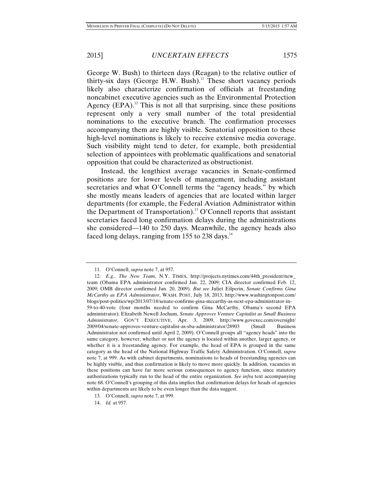George W. Bush) to thirteen days (Reagan) to the relative outlier of thirty-six days (George H.W. Bush).<sup>11</sup> These short vacancy periods likely also characterize confirmation of officials at freestanding noncabinet executive agencies such as the Environmental Protection Agency  $(EPA)^{12}$ . This is not all that surprising, since these positions represent only a very small number of the total presidential nominations to the executive branch. The confirmation processes accompanying them are highly visible. Senatorial opposition to these high-level nominations is likely to receive extensive media coverage. Such visibility might tend to deter, for example, both presidential selection of appointees with problematic qualifications and senatorial opposition that could be characterized as obstructionist.

Instead, the lengthiest average vacancies in Senate-confirmed positions are for lower levels of management, including assistant secretaries and what O'Connell terms the "agency heads," by which she mostly means leaders of agencies that are located within larger departments (for example, the Federal Aviation Administrator within the Department of Transportation).<sup>13</sup> O'Connell reports that assistant secretaries faced long confirmation delays during the administrations she considered—140 to 250 days. Meanwhile, the agency heads also faced long delays, ranging from 155 to 238 days. $^{14}$ 

 <sup>11.</sup> O'Connell, *supra* note 7, at 957.

 <sup>12.</sup> *E.g.*, *The New Team,* N.Y. TIMES, http://projects.nytimes.com/44th\_president/new\_ team (Obama EPA administrator confirmed Jan. 22, 2009; CIA director confirmed Feb. 12, 2009; OMB director confirmed Jan. 20, 2009). *But see* Juliet Eilperin, *Senate Confirms Gina McCarthy as EPA Administrator*, WASH. POST, July 18, 2013, http://www.washingtonpost.com/ blogs/post-politics/wp/2013/07/18/senate-confirms-gina-mccarthy-as-next-epa-administrator-in-59-to-40-vote (four months needed to confirm Gina McCarthy, Obama's second EPA administrator); Elizabeth Newell Jochum, *Senate Approves Venture Capitalist as Small Business Administrator*, GOV'T EXECUTIVE, Apr. 3, 2009, http://www.govexec.com/oversight/ 2009/04/senate-approves-venture-capitalist-as-sba-administrator/28903 (Small Business Administrator not confirmed until April 2, 2009). O'Connell groups all "agency heads" into the same category, however, whether or not the agency is located within another, larger agency, or whether it is a freestanding agency. For example, the head of EPA is grouped in the same category as the head of the National Highway Traffic Safety Administration. O'Connell, *supra*  note 7, at 999. As with cabinet departments, nominations to heads of freestanding agencies can be highly visible, and thus confirmation is likely to move more quickly. In addition, vacancies in these positions can have far more serious consequences to agency function, since statutory authorizations typically run to the head of the entire organization. *See infra* text accompanying note 68. O'Connell's grouping of this data implies that confirmation delays for heads of agencies within departments are likely to be even longer than the data suggest.

 <sup>13.</sup> O'Connell, *supra* note 7, at 999.

 <sup>14.</sup> *Id.* at 957.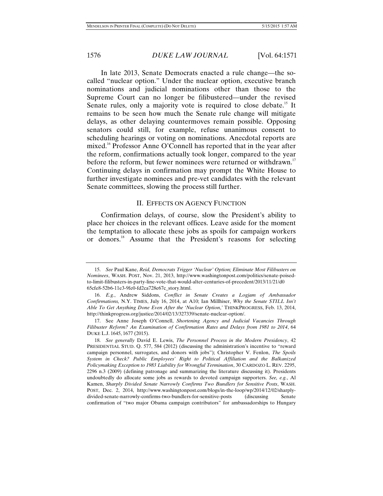In late 2013, Senate Democrats enacted a rule change—the socalled "nuclear option." Under the nuclear option, executive branch nominations and judicial nominations other than those to the Supreme Court can no longer be filibustered—under the revised Senate rules, only a majority vote is required to close debate.<sup>15</sup> It remains to be seen how much the Senate rule change will mitigate delays, as other delaying countermoves remain possible. Opposing senators could still, for example, refuse unanimous consent to scheduling hearings or voting on nominations. Anecdotal reports are mixed.<sup>16</sup> Professor Anne O'Connell has reported that in the year after the reform, confirmations actually took longer, compared to the year before the reform, but fewer nominees were returned or withdrawn.<sup>17</sup> Continuing delays in confirmation may prompt the White House to further investigate nominees and pre-vet candidates with the relevant Senate committees, slowing the process still further.

#### II. EFFECTS ON AGENCY FUNCTION

Confirmation delays, of course, slow the President's ability to place her choices in the relevant offices. Leave aside for the moment the temptation to allocate these jobs as spoils for campaign workers or donors.18 Assume that the President's reasons for selecting

 <sup>15.</sup> *See* Paul Kane, *Reid, Democrats Trigger 'Nuclear' Option; Eliminate Most Filibusters on Nominees*, WASH. POST, Nov. 21, 2013, http://www.washingtonpost.com/politics/senate-poisedto-limit-filibusters-in-party-line-vote-that-would-alter-centuries-of-precedent/2013/11/21/d0 65cfe8-52b6-11e3-9fe0-fd2ca728e67c\_story.html.

 <sup>16.</sup> *E.g.*, Andrew Siddons, *Conflict in Senate Creates a Logjam of Ambassador Confirmations,* N.Y. TIMES, July 16, 2014, at A10; Ian Millhiser, *Why the Senate STILL Isn't Able To Get Anything Done Even After the 'Nuclear Option*,*'* THINKPROGRESS, Feb. 13, 2014, http://thinkprogress.org/justice/2014/02/13/327339/senate-nuclear-option/.

 <sup>17.</sup> See Anne Joseph O'Connell, *Shortening Agency and Judicial Vacancies Through Filibuster Reform? An Examination of Confirmation Rates and Delays from 1981 to 2014*, 64 DUKE L.J. 1645, 1677 (2015).

 <sup>18.</sup> *See generally* David E. Lewis, *The Personnel Process in the Modern Presidency*, 42 PRESIDENTIAL STUD. Q. 577, 584 (2012) (discussing the administration's incentive to "reward campaign personnel, surrogates, and donors with jobs"); Christopher V. Fenlon, *The Spoils System in Check? Public Employees' Right to Political Affiliation and the Balkanized Policymaking Exception to 1983 Liability for Wrongful Termination*, 30 CARDOZO L. REV. 2295, 2296 n.3 (2009) (defining patronage and summarizing the literature discussing it). Presidents undoubtedly do allocate some jobs as rewards to devoted campaign supporters. *See, e.g.*, Al Kamen, *Sharply Divided Senate Narrowly Confirms Two Bundlers for Sensitive Posts*, WASH. POST, Dec. 2, 2014, http://www.washingtonpost.com/blogs/in-the-loop/wp/2014/12/02/sharplydivided-senate-narrowly-confirms-two-bundlers-for-sensitive-posts (discussing Senate confirmation of "two major Obama campaign contributors" for ambassadorships to Hungary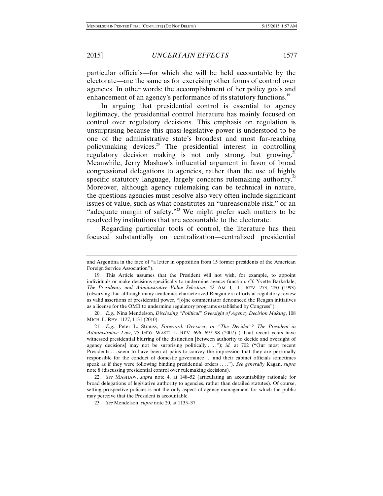particular officials—for which she will be held accountable by the electorate—are the same as for exercising other forms of control over agencies. In other words: the accomplishment of her policy goals and enhancement of an agency's performance of its statutory functions.<sup>19</sup>

In arguing that presidential control is essential to agency legitimacy, the presidential control literature has mainly focused on control over regulatory decisions. This emphasis on regulation is unsurprising because this quasi-legislative power is understood to be one of the administrative state's broadest and most far-reaching policymaking devices.20 The presidential interest in controlling regulatory decision making is not only strong, but growing.<sup>21</sup> Meanwhile, Jerry Mashaw's influential argument in favor of broad congressional delegations to agencies, rather than the use of highly specific statutory language, largely concerns rulemaking authority.<sup>22</sup> Moreover, although agency rulemaking can be technical in nature, the questions agencies must resolve also very often include significant issues of value, such as what constitutes an "unreasonable risk," or an "adequate margin of safety."<sup>23</sup> We might prefer such matters to be resolved by institutions that are accountable to the electorate.

Regarding particular tools of control, the literature has then focused substantially on centralization—centralized presidential

and Argentina in the face of "a letter in opposition from 15 former presidents of the American Foreign Service Association").

 <sup>19.</sup> This Article assumes that the President will not wish, for example, to appoint individuals or make decisions specifically to undermine agency function. *Cf.* Yvette Barksdale, *The Presidency and Administrative Value Selection*, 42 AM. U. L. REV. 273, 280 (1993) (observing that although many academics characterized Reagan-era efforts at regulatory review as valid assertions of presidential power, "[o]ne commentator denounced the Reagan initiatives as a license for the OMB to undermine regulatory programs established by Congress").

 <sup>20.</sup> *E.g.*, Nina Mendelson, *Disclosing "Political" Oversight of Agency Decision Making*, 108 MICH. L. REV. 1127, 1131 (2010).

 <sup>21.</sup> *E.g.*, Peter L. Strauss, *Foreword: Overseer, or "The Decider"? The President in Administrative Law*, 75 GEO. WASH. L. REV. 696, 697–98 (2007) ("That recent years have witnessed presidential blurring of the distinction [between authority to decide and oversight of agency decisions] may not be surprising politically . . . ."); *id.* at 702 ("Our most recent Presidents . . . seem to have been at pains to convey the impression that they are personally responsible for the conduct of domestic governance . . . and their cabinet officials sometimes speak as if they were following binding presidential orders . . . ."). *See generally* Kagan, *supra* note 8 (discussing presidential control over rulemaking decisions).

 <sup>22.</sup> *See* MASHAW, *supra* note 4, at 148–52 (articulating an accountability rationale for broad delegations of legislative authority to agencies, rather than detailed statutes). Of course, setting prospective policies is not the only aspect of agency management for which the public may perceive that the President is accountable.

 <sup>23.</sup> *See* Mendelson, *supra* note 20, at 1135–37.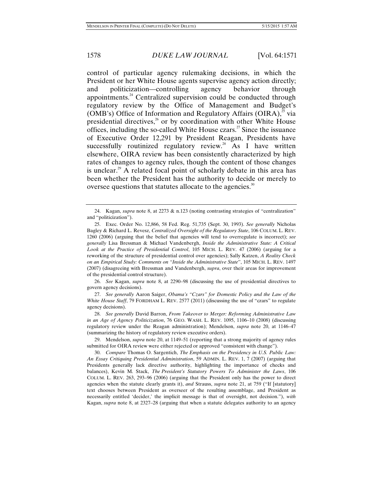control of particular agency rulemaking decisions, in which the President or her White House agents supervise agency action directly; and politicization—controlling agency behavior through appointments. $24$  Centralized supervision could be conducted through regulatory review by the Office of Management and Budget's (OMB's) Office of Information and Regulatory Affairs (OIRA), $^{25}$  via presidential directives, $26$  or by coordination with other White House offices, including the so-called White House  $czars<sup>27</sup>$  Since the issuance of Executive Order 12,291 by President Reagan, Presidents have successfully routinized regulatory review.<sup>28</sup> As I have written elsewhere, OIRA review has been consistently characterized by high rates of changes to agency rules, though the content of those changes is unclear.<sup>29</sup> A related focal point of scholarly debate in this area has been whether the President has the authority to decide or merely to oversee questions that statutes allocate to the agencies.<sup>30</sup>

 26. *See* Kagan, *supra* note 8, at 2290–98 (discussing the use of presidential directives to govern agency decisions).

 27. *See generally* Aaron Saiger, *Obama's "Czars" for Domestic Policy and the Law of the White House Staff*, 79 FORDHAM L. REV. 2577 (2011) (discussing the use of "czars" to regulate agency decisions).

 28. *See generally* David Barron, *From Takeover to Merger: Reforming Administrative Law in an Age of Agency Politicization*, 76 GEO. WASH. L. REV. 1095, 1106–10 (2008) (discussing regulatory review under the Reagan administration); Mendelson, *supra* note 20, at 1146–47 (summarizing the history of regulatory review executive orders).

 29. Mendelson, *supra* note 20, at 1149–51 (reporting that a strong majority of agency rules submitted for OIRA review were either rejected or approved "consistent with change").

 30. *Compare* Thomas O. Sargentich, *The Emphasis on the Presidency in U.S. Public Law: An Essay Critiquing Presidential Administration*, 59 ADMIN. L. REV. 1, 7 (2007) (arguing that Presidents generally lack directive authority, highlighting the importance of checks and balances), Kevin M. Stack, *The President's Statutory Powers To Administer the Laws*, 106 COLUM. L. REV. 263, 293–96 (2006) (arguing that the President only has the power to direct agencies when the statute clearly grants it), *and* Strauss, *supra* note 21, at 759 ("If [statutory] text chooses between President as overseer of the resulting assemblage, and President as necessarily entitled 'decider,' the implicit message is that of oversight, not decision."), *with* Kagan, *supra* note 8, at 2327–28 (arguing that when a statute delegates authority to an agency

 <sup>24.</sup> Kagan, *supra* note 8, at 2273 & n.123 (noting contrasting strategies of "centralization" and "politicization").

 <sup>25.</sup> Exec. Order No. 12,866, 58 Fed. Reg. 51,735 (Sept. 30, 1993). *See generally* Nicholas Bagley & Richard L. Revesz, *Centralized Oversight of the Regulatory State*, 106 COLUM. L. REV. 1260 (2006) (arguing that the belief that agencies will tend to overregulate is incorrect); *see generally* Lisa Bressman & Michael Vandenbergh, *Inside the Administrative State: A Critical Look at the Practice of Presidential Control*, 105 MICH. L. REV. 47 (2006) (arguing for a reworking of the structure of presidential control over agencies); Sally Katzen, *A Reality Check on an Empirical Study: Comments on "Inside the Administrative State*", 105 MICH. L. REV. 1497 (2007) (disagreeing with Bressman and Vandenbergh, *supra*, over their areas for improvement of the presidential control structure).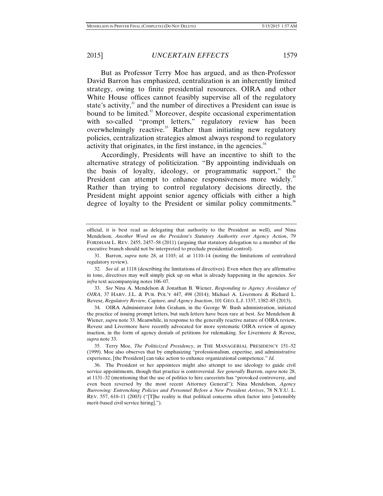But as Professor Terry Moe has argued, and as then-Professor David Barron has emphasized, centralization is an inherently limited strategy, owing to finite presidential resources. OIRA and other White House offices cannot feasibly supervise all of the regulatory state's activity, $3<sup>1</sup>$  and the number of directives a President can issue is bound to be limited.<sup>32</sup> Moreover, despite occasional experimentation with so-called "prompt letters," regulatory review has been overwhelmingly reactive.<sup>33</sup> Rather than initiating new regulatory policies, centralization strategies almost always respond to regulatory activity that originates, in the first instance, in the agencies.<sup>34</sup>

Accordingly, Presidents will have an incentive to shift to the alternative strategy of politicization. "By appointing individuals on the basis of loyalty, ideology, or programmatic support," the President can attempt to enhance responsiveness more widely.<sup>35</sup> Rather than trying to control regulatory decisions directly, the President might appoint senior agency officials with either a high degree of loyalty to the President or similar policy commitments.<sup>36</sup>

 33. *See* Nina A. Mendelson & Jonathan B. Wiener, *Responding to Agency Avoidance of OIRA*, 37 HARV. J.L. & PUB. POL'Y 447, 498 (2014); Michael A. Livermore & Richard L. Revesz, *Regulatory Review, Capture, and Agency Inaction*, 101 GEO. L.J. 1337, 1382–85 (2013).

 34. OIRA Administrator John Graham, in the George W. Bush administration, initiated the practice of issuing prompt letters, but such letters have been rare at best. *See* Mendelson & Wiener, *supra* note 33. Meanwhile, in response to the generally reactive nature of OIRA review, Revesz and Livermore have recently advocated for more systematic OIRA review of agency inaction, in the form of agency denials of petitions for rulemaking. *See* Livermore & Revesz, *supra* note 33.

 35. Terry Moe, *The Politicized Presidency*, *in* THE MANAGERIAL PRESIDENCY 151–52 (1999). Moe also observes that by emphasizing "professionalism, expertise, and administrative experience, [the President] can take action to enhance organizational competence." *Id.* 

 36. The President or her appointees might also attempt to use ideology to guide civil service appointments, though that practice is controversial. *See generally* Barron, *supra* note 28, at 1131–32 (mentioning that the use of politics to hire careerists has "provoked controversy, and even been reversed by the most recent Attorney General"); Nina Mendelson, *Agency Burrowing: Entrenching Policies and Personnel Before a New President Arrives*, 78 N.Y.U. L. REV. 557, 610–11 (2003) ("[T]he reality is that political concerns often factor into [ostensibly merit-based civil service hiring].").

official, it is best read as delegating that authority to the President as well), *and* Nina Mendelson, *Another Word on the President's Statutory Authority over Agency Action*, 79 FORDHAM L. REV. 2455, 2457–58 (2011) (arguing that statutory delegation to a member of the executive branch should not be interpreted to preclude presidential control).

 <sup>31.</sup> Barron, *supra* note 28, at 1103; *id.* at 1110–14 (noting the limitations of centralized regulatory review).

 <sup>32.</sup> *See id.* at 1118 (describing the limitations of directives). Even when they are affirmative in tone, directives may well simply pick up on what is already happening in the agencies. *See infra* text accompanying notes 106–07.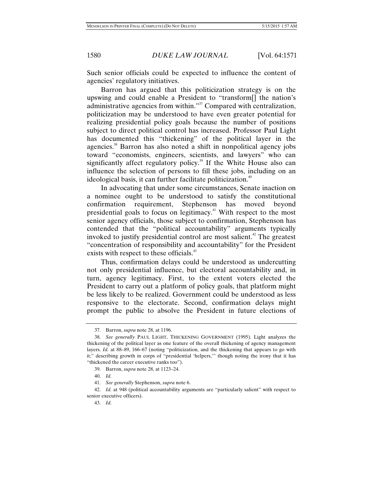Such senior officials could be expected to influence the content of agencies' regulatory initiatives.

Barron has argued that this politicization strategy is on the upswing and could enable a President to "transform[] the nation's administrative agencies from within."37 Compared with centralization, politicization may be understood to have even greater potential for realizing presidential policy goals because the number of positions subject to direct political control has increased. Professor Paul Light has documented this "thickening" of the political layer in the agencies.<sup>38</sup> Barron has also noted a shift in nonpolitical agency jobs toward "economists, engineers, scientists, and lawyers" who can significantly affect regulatory policy.<sup>39</sup> If the White House also can influence the selection of persons to fill these jobs, including on an ideological basis, it can further facilitate politicization.<sup>40</sup>

In advocating that under some circumstances, Senate inaction on a nominee ought to be understood to satisfy the constitutional confirmation requirement, Stephenson has moved beyond presidential goals to focus on legitimacy.41 With respect to the most senior agency officials, those subject to confirmation, Stephenson has contended that the "political accountability" arguments typically invoked to justify presidential control are most salient.<sup>42</sup> The greatest "concentration of responsibility and accountability" for the President exists with respect to these officials.<sup>43</sup>

Thus, confirmation delays could be understood as undercutting not only presidential influence, but electoral accountability and, in turn, agency legitimacy. First, to the extent voters elected the President to carry out a platform of policy goals, that platform might be less likely to be realized. Government could be understood as less responsive to the electorate. Second, confirmation delays might prompt the public to absolve the President in future elections of

 <sup>37.</sup> Barron, *supra* note 28, at 1196.

 <sup>38.</sup> *See generally* PAUL LIGHT, THICKENING GOVERNMENT (1995). Light analyzes the thickening of the political layer as one feature of the overall thickening of agency management layers. *Id.* at 88–89, 166–67 (noting "politicization, and the thickening that appears to go with it;" describing growth in corps of "presidential 'helpers,'" though noting the irony that it has "thickened the career executive ranks too").

 <sup>39.</sup> Barron, *supra* note 28, at 1123–24.

 <sup>40.</sup> *Id.* 

 <sup>41.</sup> *See generally* Stephenson, *supra* note 6.

 <sup>42.</sup> *Id.* at 948 (political accountability arguments are "particularly salient" with respect to senior executive officers).

 <sup>43.</sup> *Id*.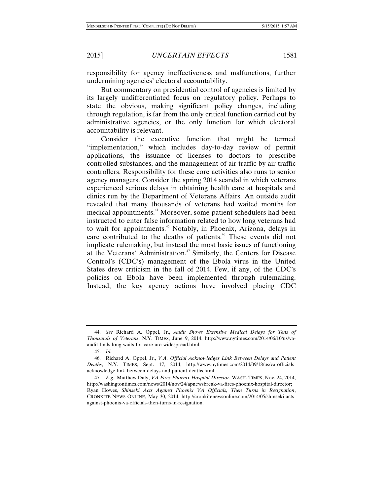responsibility for agency ineffectiveness and malfunctions, further undermining agencies' electoral accountability.

But commentary on presidential control of agencies is limited by its largely undifferentiated focus on regulatory policy. Perhaps to state the obvious, making significant policy changes, including through regulation, is far from the only critical function carried out by administrative agencies, or the only function for which electoral accountability is relevant.

Consider the executive function that might be termed "implementation," which includes day-to-day review of permit applications, the issuance of licenses to doctors to prescribe controlled substances, and the management of air traffic by air traffic controllers. Responsibility for these core activities also runs to senior agency managers. Consider the spring 2014 scandal in which veterans experienced serious delays in obtaining health care at hospitals and clinics run by the Department of Veterans Affairs. An outside audit revealed that many thousands of veterans had waited months for medical appointments.44 Moreover, some patient schedulers had been instructed to enter false information related to how long veterans had to wait for appointments.45 Notably, in Phoenix, Arizona, delays in care contributed to the deaths of patients.<sup>46</sup> These events did not implicate rulemaking, but instead the most basic issues of functioning at the Veterans' Administration.<sup>47</sup> Similarly, the Centers for Disease Control's (CDC's) management of the Ebola virus in the United States drew criticism in the fall of 2014. Few, if any, of the CDC's policies on Ebola have been implemented through rulemaking. Instead, the key agency actions have involved placing CDC

 <sup>44.</sup> *See* Richard A. Oppel, Jr., *Audit Shows Extensive Medical Delays for Tens of Thousands of Veterans*, N.Y. TIMES, June 9, 2014, http://www.nytimes.com/2014/06/10/us/vaaudit-finds-long-waits-for-care-are-widespread.html.

 <sup>45.</sup> *Id.*

 <sup>46.</sup> Richard A. Oppel, Jr., *V.A. Official Acknowledges Link Between Delays and Patient Deaths*, N.Y. TIMES, Sept. 17, 2014, http://www.nytimes.com/2014/09/18/us/va-officialsacknowledge-link-between-delays-and-patient-deaths.html.

 <sup>47.</sup> *E.g.*, Matthew Daly, *VA Fires Phoenix Hospital Director*, WASH. TIMES, Nov. 24, 2014, http://washingtontimes.com/news/2014/nov/24/apnewsbreak-va-fires-phoenix-hospital-director; Ryan Howes, *Shinseki Acts Against Phoenix VA Officials, Then Turns in Resignation*, CRONKITE NEWS ONLINE, May 30, 2014, http://cronkitenewsonline.com/2014/05/shinseki-actsagainst-phoenix-va-officials-then-turns-in-resignation.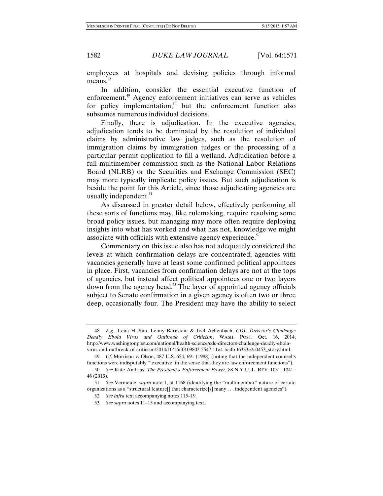employees at hospitals and devising policies through informal means.<sup>48</sup>

In addition, consider the essential executive function of enforcement.<sup>49</sup> Agency enforcement initiatives can serve as vehicles for policy implementation, $50$  but the enforcement function also subsumes numerous individual decisions.

Finally, there is adjudication. In the executive agencies, adjudication tends to be dominated by the resolution of individual claims by administrative law judges, such as the resolution of immigration claims by immigration judges or the processing of a particular permit application to fill a wetland. Adjudication before a full multimember commission such as the National Labor Relations Board (NLRB) or the Securities and Exchange Commission (SEC) may more typically implicate policy issues. But such adjudication is beside the point for this Article, since those adjudicating agencies are usually independent.<sup>51</sup>

As discussed in greater detail below, effectively performing all these sorts of functions may, like rulemaking, require resolving some broad policy issues, but managing may more often require deploying insights into what has worked and what has not, knowledge we might associate with officials with extensive agency experience. $52$ 

Commentary on this issue also has not adequately considered the levels at which confirmation delays are concentrated; agencies with vacancies generally have at least some confirmed political appointees in place. First, vacancies from confirmation delays are not at the tops of agencies, but instead affect political appointees one or two layers down from the agency head.<sup>53</sup> The layer of appointed agency officials subject to Senate confirmation in a given agency is often two or three deep, occasionally four. The President may have the ability to select

 <sup>48.</sup> *E.g.*, Lena H. Sun, Lenny Bernstein & Joel Achenbach, *CDC Director's Challenge: Deadly Ebola Virus and Outbreak of Criticism*, WASH. POST, Oct. 16, 2014, http://www.washingtonpost.com/national/health-science/cdc-directors-challenge-deadly-ebolavirus-and-outbreak-of-criticism/2014/10/16/f0109802-5547-11e4-ba4b-f6333e2c0453\_story.html.

 <sup>49.</sup> *Cf.* Morrison v. Olson, 487 U.S. 654, 691 (1988) (noting that the independent counsel's functions were indisputably "'executive' in the sense that they are law enforcement functions").

 <sup>50.</sup> *See* Kate Andrias, *The President's Enforcement Power*, 88 N.Y.U. L. REV. 1031, 1041– 46 (2013).

 <sup>51.</sup> *See* Vermeule, *supra* note 1, at 1168 (identifying the "multimember" nature of certain organizations as a "structural feature[] that characterize[s] many . . . independent agencies").

 <sup>52.</sup> *See infra* text accompanying notes 115*–*19.

 <sup>53.</sup> *See supra* notes 11–15 and accompanying text.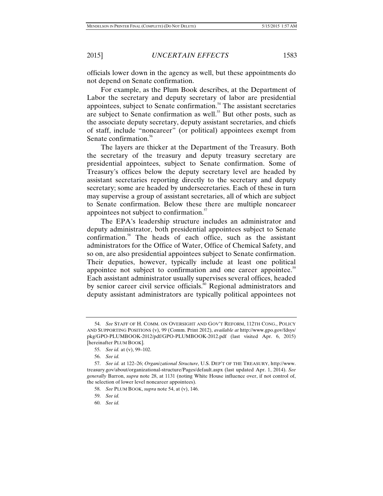officials lower down in the agency as well, but these appointments do not depend on Senate confirmation.

For example, as the Plum Book describes, at the Department of Labor the secretary and deputy secretary of labor are presidential appointees, subject to Senate confirmation.<sup>54</sup> The assistant secretaries are subject to Senate confirmation as well.<sup>55</sup> But other posts, such as the associate deputy secretary, deputy assistant secretaries, and chiefs of staff, include "noncareer" (or political) appointees exempt from Senate confirmation.<sup>56</sup>

The layers are thicker at the Department of the Treasury. Both the secretary of the treasury and deputy treasury secretary are presidential appointees, subject to Senate confirmation. Some of Treasury's offices below the deputy secretary level are headed by assistant secretaries reporting directly to the secretary and deputy secretary; some are headed by undersecretaries. Each of these in turn may supervise a group of assistant secretaries, all of which are subject to Senate confirmation. Below these there are multiple noncareer appointees not subject to confirmation.<sup>57</sup>

The EPA's leadership structure includes an administrator and deputy administrator, both presidential appointees subject to Senate confirmation.<sup>58</sup> The heads of each office, such as the assistant administrators for the Office of Water, Office of Chemical Safety, and so on, are also presidential appointees subject to Senate confirmation. Their deputies, however, typically include at least one political appointee not subject to confirmation and one career appointee.<sup>59</sup> Each assistant administrator usually supervises several offices, headed by senior career civil service officials.<sup>60</sup> Regional administrators and deputy assistant administrators are typically political appointees not

 <sup>54.</sup> *See* STAFF OF H. COMM. ON OVERSIGHT AND GOV'T REFORM, 112TH CONG., POLICY AND SUPPORTING POSITIONS (v), 99 (Comm. Print 2012), *available at* http://www.gpo.gov/fdsys/ pkg/GPO-PLUMBOOK-2012/pdf/GPO-PLUMBOOK-2012.pdf (last visited Apr. 6, 2015) [hereinafter PLUM BOOK].

 <sup>55.</sup> *See id.* at (v), 99–102.

 <sup>56.</sup> *See id.*

 <sup>57.</sup> *See id.* at 122–26; *Organizational Structure*, U.S. DEP'T OF THE TREASURY, http://www. treasury.gov/about/organizational-structure/Pages/default.aspx (last updated Apr. 1, 2014). *See generally* Barron, *supra* note 28, at 1131 (noting White House influence over, if not control of, the selection of lower level noncareer appointees).

 <sup>58.</sup> *See* PLUM BOOK, *supra* note 54, at (v), 146.

 <sup>59.</sup> *See id.*

 <sup>60.</sup> *See id.*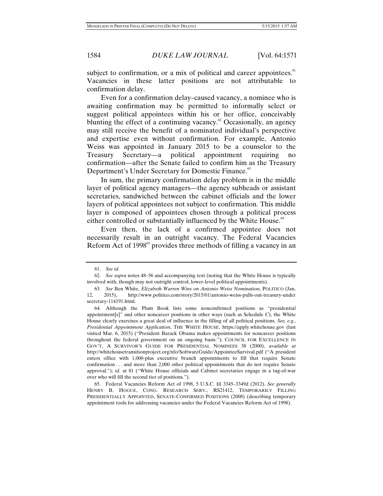subject to confirmation, or a mix of political and career appointees. $61$ Vacancies in these latter positions are not attributable to confirmation delay.

Even for a confirmation delay–caused vacancy, a nominee who is awaiting confirmation may be permitted to informally select or suggest political appointees within his or her office, conceivably blunting the effect of a continuing vacancy.<sup>62</sup> Occasionally, an agency may still receive the benefit of a nominated individual's perspective and expertise even without confirmation. For example, Antonio Weiss was appointed in January 2015 to be a counselor to the Treasury Secretary—a political appointment requiring no confirmation—after the Senate failed to confirm him as the Treasury Department's Under Secretary for Domestic Finance.<sup>63</sup>

In sum, the primary confirmation delay problem is in the middle layer of political agency managers—the agency subheads or assistant secretaries, sandwiched between the cabinet officials and the lower layers of political appointees not subject to confirmation. This middle layer is composed of appointees chosen through a political process either controlled or substantially influenced by the White House.<sup>64</sup>

Even then, the lack of a confirmed appointee does not necessarily result in an outright vacancy. The Federal Vacancies Reform Act of  $1998^\circ$  provides three methods of filling a vacancy in an

 <sup>61.</sup> *See id.*

 <sup>62.</sup> *See supra* notes 48–56 and accompanying text (noting that the White House is typically involved with, though may not outright control, lower-level political appointments).

 <sup>63.</sup> *See* Ben White, *Elizabeth Warren Wins on Antonio Weiss Nomination*, POLITICO (Jan. 12, 2015), http://www.politico.com/story/2015/01/antonio-weiss-pulls-out-treasury-under secretary-114191.html.

 <sup>64.</sup> Although the Plum Book lists some nonconfirmed positions as "presidential appointment[s]" and other noncareer positions in other ways (such as Schedule C), the White House clearly exercises a great deal of influence in the filling of all political positions. *See, e.g.*, *Presidential Appointment Application*, THE WHITE HOUSE, https://apply.whitehouse.gov (last visited Mar. 6, 2015) ("President Barack Obama makes appointments for noncareer positions throughout the federal government on an ongoing basis."); COUNCIL FOR EXCELLENCE IN GOV'T, A SURVIVOR'S GUIDE FOR PRESIDENTIAL NOMINEES 38 (2000), *available at* http://whitehousetransitionproject.org/nfo/SoftwareGuide/AppointeeSurvival.pdf ("A president enters office with 1,000-plus executive branch appointments to fill that require Senate confirmation . . . and more than 2,000 other political appointments that do not require Senate approval."); *id.* at 81 ("White House officials and Cabinet secretaries engage in a tug-of-war over who will fill the second tier of positions.").

 <sup>65.</sup> Federal Vacancies Reform Act of 1998, 5 U.S.C. §§ 3345–3349d (2012). *See generally* HENRY B. HOGUE, CONG. RESEARCH SERV., RS21412, TEMPORARILY FILLING PRESIDENTIALLY APPOINTED, SENATE-CONFIRMED POSITIONS (2008) (describing temporary appointment tools for addressing vacancies under the Federal Vacancies Reform Act of 1998).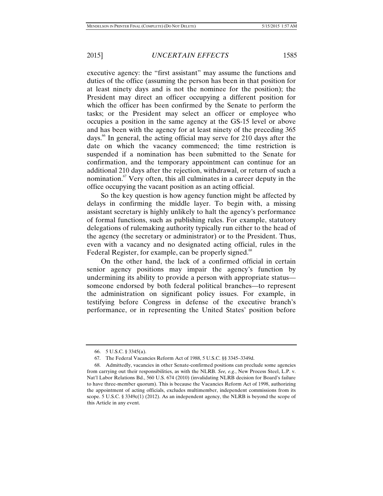executive agency: the "first assistant" may assume the functions and duties of the office (assuming the person has been in that position for at least ninety days and is not the nominee for the position); the President may direct an officer occupying a different position for which the officer has been confirmed by the Senate to perform the tasks; or the President may select an officer or employee who occupies a position in the same agency at the GS-15 level or above and has been with the agency for at least ninety of the preceding 365 days.<sup>66</sup> In general, the acting official may serve for 210 days after the date on which the vacancy commenced; the time restriction is suspended if a nomination has been submitted to the Senate for confirmation, and the temporary appointment can continue for an additional 210 days after the rejection, withdrawal, or return of such a nomination. $\mathcal{F}$  Very often, this all culminates in a career deputy in the office occupying the vacant position as an acting official.

So the key question is how agency function might be affected by delays in confirming the middle layer. To begin with, a missing assistant secretary is highly unlikely to halt the agency's performance of formal functions, such as publishing rules. For example, statutory delegations of rulemaking authority typically run either to the head of the agency (the secretary or administrator) or to the President. Thus, even with a vacancy and no designated acting official, rules in the Federal Register, for example, can be properly signed.<sup>68</sup>

On the other hand, the lack of a confirmed official in certain senior agency positions may impair the agency's function by undermining its ability to provide a person with appropriate status someone endorsed by both federal political branches—to represent the administration on significant policy issues. For example, in testifying before Congress in defense of the executive branch's performance, or in representing the United States' position before

 <sup>66. 5</sup> U.S.C. § 3345(a).

 <sup>67.</sup> The Federal Vacancies Reform Act of 1988, 5 U.S.C. §§ 3345–3349d.

 <sup>68.</sup> Admittedly, vacancies in other Senate-confirmed positions can preclude some agencies from carrying out their responsibilities, as with the NLRB. *See, e.g.*, New Process Steel, L.P. v. Nat'l Labor Relations Bd., 560 U.S. 674 (2010) (invalidating NLRB decision for Board's failure to have three-member quorum). This is because the Vacancies Reform Act of 1998, authorizing the appointment of acting officials, excludes multimember, independent commissions from its scope. 5 U.S.C. § 3349c(1) (2012). As an independent agency, the NLRB is beyond the scope of this Article in any event.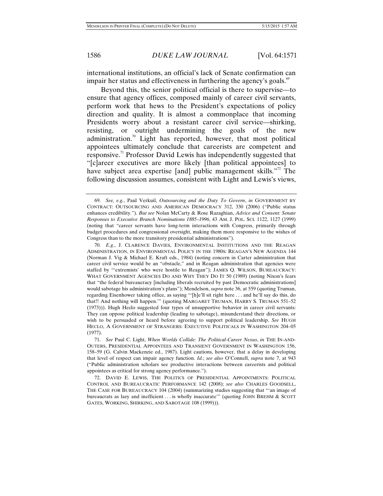international institutions, an official's lack of Senate confirmation can impair her status and effectiveness in furthering the agency's goals.<sup>69</sup>

Beyond this, the senior political official is there to supervise—to ensure that agency offices, composed mainly of career civil servants, perform work that hews to the President's expectations of policy direction and quality. It is almost a commonplace that incoming Presidents worry about a resistant career civil service—shirking, resisting, or outright undermining the goals of the new administration.<sup>70</sup> Light has reported, however, that most political appointees ultimately conclude that careerists are competent and responsive.<sup>71</sup> Professor David Lewis has independently suggested that "[c]areer executives are more likely [than political appointees] to have subject area expertise [and] public management skills."<sup>72</sup> The following discussion assumes, consistent with Light and Lewis's views,

 71. *See* Paul C. Light, *When Worlds Collide: The Political-Career Nexus*, *in* THE IN-AND-OUTERS, PRESIDENTIAL APPOINTEES AND TRANSIENT GOVERNMENT IN WASHINGTON 156, 158*–*59 (G. Calvin Mackenzie ed., 1987). Light cautions, however, that a delay in developing that level of respect can impair agency function. *Id.*; *see also* O'Connell, *supra* note 7, at 943 ("Public administration scholars see productive interactions between careerists and political appointees as critical for strong agency performance.").

 <sup>69.</sup> *See, e.g.*, Paul Verkuil, *Outsourcing and the Duty To Govern*, *in* GOVERNMENT BY CONTRACT: OUTSOURCING AND AMERICAN DEMOCRACY 312, 330 (2006) ("Public status enhances credibility."). *But see* Nolan McCarty & Rose Razaghian, *Advice and Consent: Senate Responses to Executive Branch Nominations 1885–1996*, 43 AM. J. POL. SCI. 1122, 1127 (1999) (noting that "career servants have long-term interactions with Congress, primarily through budget procedures and congressional oversight, making them more responsive to the wishes of Congress than to the more transitory presidential administrations").

 <sup>70.</sup> *E.g.*, J. CLARENCE DAVIES, ENVIRONMENTAL INSTITUTIONS AND THE REAGAN ADMINISTRATION, IN ENVIRONMENTAL POLICY IN THE 1980S: REAGAN'S NEW AGENDA 144 (Norman J. Vig & Michael E. Kraft eds., 1984) (noting concern in Carter administration that career civil service would be an "obstacle," and in Reagan administration that agencies were staffed by "'extremists' who were hostile to Reagan"); JAMES Q. WILSON, BUREAUCRACY: WHAT GOVERNMENT AGENCIES DO AND WHY THEY DO IT 50 (1989) (noting Nixon's fears that "the federal bureaucracy [including liberals recruited by past Democratic administrations] would sabotage his administration's plans"); Mendelson, *supra* note 36, at 559 (quoting Truman, regarding Eisenhower taking office, as saying "'[h]e'll sit right here . . . and he'll say do this, do that!! And nothing will happen.'" (quoting MARGARET TRUMAN, HARRY S. TRUMAN 551–52 (1973))). Hugh Heclo suggested four types of unsupportive behavior in career civil servants: They can oppose political leadership (leading to sabotage), misunderstand their directions, or wish to be persuaded or heard before agreeing to support political leadership. *See* HUGH HECLO, A GOVERNMENT OF STRANGERS: EXECUTIVE POLITICALS IN WASHINGTON 204–05 (1977).

 <sup>72.</sup> DAVID E. LEWIS, THE POLITICS OF PRESIDENTIAL APPOINTMENTS: POLITICAL CONTROL AND BUREAUCRATIC PERFORMANCE 142 (2008); *see also* CHARLES GOODSELL, THE CASE FOR BUREAUCRACY 104 (2004) (summarizing studies suggesting that "'an image of bureaucrats as lazy and inefficient . . . is wholly inaccurate'" (quoting JOHN BREHM & SCOTT GATES, WORKING, SHIRKING, AND SABOTAGE 108 (1999))).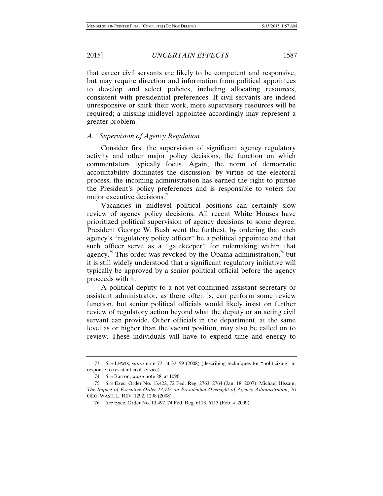that career civil servants are likely to be competent and responsive, but may require direction and information from political appointees to develop and select policies, including allocating resources, consistent with presidential preferences. If civil servants are indeed unresponsive or shirk their work, more supervisory resources will be required; a missing midlevel appointee accordingly may represent a greater problem. $\frac{73}{2}$ 

#### *A. Supervision of Agency Regulation*

Consider first the supervision of significant agency regulatory activity and other major policy decisions, the function on which commentators typically focus. Again, the norm of democratic accountability dominates the discussion: by virtue of the electoral process, the incoming administration has earned the right to pursue the President's policy preferences and is responsible to voters for major executive decisions. $4^4$ 

Vacancies in midlevel political positions can certainly slow review of agency policy decisions. All recent White Houses have prioritized political supervision of agency decisions to some degree. President George W. Bush went the furthest, by ordering that each agency's "regulatory policy officer" be a political appointee and that such officer serve as a "gatekeeper" for rulemaking within that agency.<sup>75</sup> This order was revoked by the Obama administration,<sup>76</sup> but it is still widely understood that a significant regulatory initiative will typically be approved by a senior political official before the agency proceeds with it.

A political deputy to a not-yet-confirmed assistant secretary or assistant administrator, as there often is, can perform some review function, but senior political officials would likely insist on further review of regulatory action beyond what the deputy or an acting civil servant can provide. Other officials in the department, at the same level as or higher than the vacant position, may also be called on to review. These individuals will have to expend time and energy to

 <sup>73.</sup> *See* LEWIS, *supra* note 72, at 32–59 (2008) (describing techniques for "politicizing" in response to resistant civil service).

 <sup>74.</sup> *See* Barron, *supra* note 28, at 1096.

 <sup>75.</sup> *See* Exec. Order No. 13,422, 72 Fed. Reg. 2763, 2764 (Jan. 18, 2007); Michael Hissam, *The Impact of Executive Order 13,422 on Presidential Oversight of Agency Administration*, 76 GEO. WASH. L. REV. 1292, 1298 (2008)

 <sup>76.</sup> *See* Exec. Order No. 13,497, 74 Fed. Reg. 6113, 6113 (Feb. 4, 2009).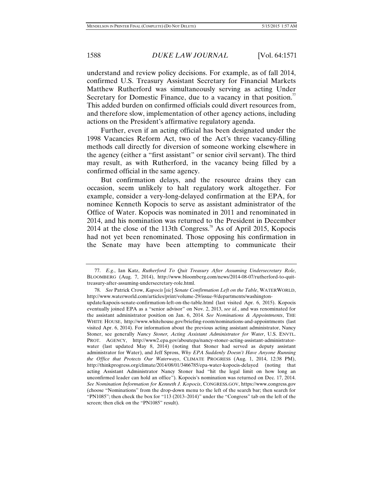understand and review policy decisions. For example, as of fall 2014, confirmed U.S. Treasury Assistant Secretary for Financial Markets Matthew Rutherford was simultaneously serving as acting Under Secretary for Domestic Finance, due to a vacancy in that position.<sup> $\pi$ </sup> This added burden on confirmed officials could divert resources from, and therefore slow, implementation of other agency actions, including actions on the President's affirmative regulatory agenda.

Further, even if an acting official has been designated under the 1998 Vacancies Reform Act, two of the Act's three vacancy-filling methods call directly for diversion of someone working elsewhere in the agency (either a "first assistant" or senior civil servant). The third may result, as with Rutherford, in the vacancy being filled by a confirmed official in the same agency.

But confirmation delays, and the resource drains they can occasion, seem unlikely to halt regulatory work altogether. For example, consider a very-long-delayed confirmation at the EPA, for nominee Kenneth Kopocis to serve as assistant administrator of the Office of Water. Kopocis was nominated in 2011 and renominated in 2014, and his nomination was returned to the President in December 2014 at the close of the 113th Congress.<sup>78</sup> As of April 2015, Kopocis had not yet been renominated. Those opposing his confirmation in the Senate may have been attempting to communicate their

 <sup>77.</sup> *E.g.*, Ian Katz, *Rutherford To Quit Treasury After Assuming Undersecretary Role*, BLOOMBERG (Aug. 7, 2014), http://www.bloomberg.com/news/2014-08-07/rutherford-to-quittreasury-after-assuming-undersecretary-role.html.

 <sup>78.</sup> *See* Patrick Crow, *Kapocis* [*sic*] *Senate Confirmation Left on the Table*, WATERWORLD, http://www.waterworld.com/articles/print/volume-29/issue-9/departments/washington-

update/kapocis-senate-confirmation-left-on-the-table.html (last visited Apr. 6, 2015). Kopocis eventually joined EPA as a "senior advisor" on Nov. 2, 2013, *see id.*, and was renominated for the assistant administrator position on Jan. 6, 2014. *See Nominations & Appointments*, THE WHITE HOUSE, http://www.whitehouse.gov/briefing-room/nominations-and-appointments (last visited Apr. 6, 2014). For information about the previous acting assistant administrator, Nancy Stoner, see generally *Nancy Stoner, Acting Assistant Administrator for Water*, U.S. ENVTL. PROT. AGENCY, http://www2.epa.gov/aboutepa/nancy-stoner-acting-assistant-administratorwater (last updated May 8, 2014) (noting that Stoner had served as deputy assistant administrator for Water), and Jeff Spross, *Why EPA Suddenly Doesn't Have Anyone Running the Office that Protects Our Waterways*, CLIMATE PROGRESS (Aug. 1, 2014, 12:38 PM), http://thinkprogress.org/climate/2014/08/01/3466785/epa-water-kopocis-delayed (noting that acting Assistant Administrator Nancy Stoner had "hit the legal limit on how long an unconfirmed leader can hold an office"). Kopocis's nomination was returned on Dec. 17, 2014. *See Nomination Information for Kenneth J. Kopocis*, CONGRESS.GOV, https://www.congress.gov (choose "Nominations" from the drop-down menu to the left of the search bar; then search for "PN1085"; then check the box for "113 (2013–2014)" under the "Congress" tab on the left of the screen; then click on the "PN1085" result).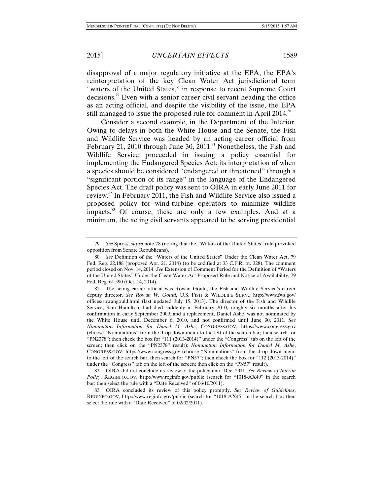disapproval of a major regulatory initiative at the EPA, the EPA's reinterpretation of the key Clean Water Act jurisdictional term "waters of the United States," in response to recent Supreme Court decisions.<sup>79</sup> Even with a senior career civil servant heading the office as an acting official, and despite the visibility of the issue, the EPA still managed to issue the proposed rule for comment in April 2014.<sup>80</sup>

Consider a second example, in the Department of the Interior. Owing to delays in both the White House and the Senate, the Fish and Wildlife Service was headed by an acting career official from February 21, 2010 through June 30, 2011.<sup>81</sup> Nonetheless, the Fish and Wildlife Service proceeded in issuing a policy essential for implementing the Endangered Species Act: its interpretation of when a species should be considered "endangered or threatened" through a "significant portion of its range" in the language of the Endangered Species Act. The draft policy was sent to OIRA in early June 2011 for review.<sup>82</sup> In February 2011, the Fish and Wildlife Service also issued a proposed policy for wind-turbine operators to minimize wildlife impacts.<sup>83</sup> Of course, these are only a few examples. And at a minimum, the acting civil servants appeared to be serving presidential

 82. OIRA did not conclude its review of the policy until Dec. 2011. *See Review of Interim Policy*, REGINFO.GOV, http://www.reginfo.gov/public (search for "1018-AX49" in the search bar; then select the rule with a "Date Received" of 06/10/2011).

 <sup>79.</sup> *See* Spross, *supra* note 78 (noting that the "Waters of the United States" rule provoked opposition from Senate Republicans).

 <sup>80.</sup> *See* Definition of the "Waters of the United States" Under the Clean Water Act, 79 Fed. Reg. 22,188 (proposed Apr. 21, 2014) (to be codified at 33 C.F.R. pt. 328). The comment period closed on Nov. 14, 2014. *See* Extension of Comment Period for the Definition of "Waters of the United States" Under the Clean Water Act Proposed Rule and Notice of Availability, 79 Fed. Reg. 61,590 (Oct. 14, 2014).

 <sup>81.</sup> The acting career official was Rowan Gould, the Fish and Wildlife Service's career deputy director. *See Rowan W. Gould*, U.S. FISH & WILDLIFE SERV., http://www.fws.gov/ offices/rowangould.html (last updated July 15, 2013). The director of the Fish and Wildlife Service, Sam Hamilton, had died suddenly in February 2010, roughly six months after his confirmation in early September 2009, and a replacement, Daniel Ashe, was not nominated by the White House until December 6, 2010, and not confirmed until June 30, 2011. *See Nomination Information for Daniel M. Ashe*, CONGRESS.GOV, https://www.congress.gov (choose "Nominations" from the drop-down menu to the left of the search bar; then search for "PN2378"; then check the box for "111 (2013-2014)" under the "Congress" tab on the left of the screen; then click on the "PN2378" result); *Nomination Information for Daniel M. Ashe*, CONGRESS.GOV, https://www.congress.gov (choose "Nominations" from the drop-down menu to the left of the search bar; then search for "PN57"; then check the box for "112 (2013-2014)" under the "Congress" tab on the left of the screen; then click on the "PN57" result).

 <sup>83.</sup> OIRA concluded its review of this policy promptly. *See Review of Guidelines*, REGINFO.GOV, http://www.reginfo.gov/public (search for "1018-AX45" in the search bar; then select the rule with a "Date Received" of 02/02/2011).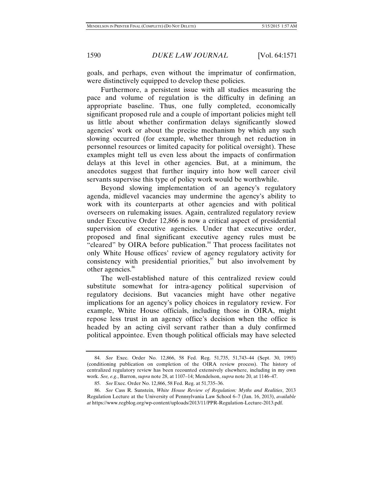goals, and perhaps, even without the imprimatur of confirmation, were distinctively equipped to develop these policies.

Furthermore, a persistent issue with all studies measuring the pace and volume of regulation is the difficulty in defining an appropriate baseline. Thus, one fully completed, economically significant proposed rule and a couple of important policies might tell us little about whether confirmation delays significantly slowed agencies' work or about the precise mechanism by which any such slowing occurred (for example, whether through net reduction in personnel resources or limited capacity for political oversight). These examples might tell us even less about the impacts of confirmation delays at this level in other agencies. But, at a minimum, the anecdotes suggest that further inquiry into how well career civil servants supervise this type of policy work would be worthwhile.

Beyond slowing implementation of an agency's regulatory agenda, midlevel vacancies may undermine the agency's ability to work with its counterparts at other agencies and with political overseers on rulemaking issues. Again, centralized regulatory review under Executive Order 12,866 is now a critical aspect of presidential supervision of executive agencies. Under that executive order, proposed and final significant executive agency rules must be "cleared" by OIRA before publication.<sup>84</sup> That process facilitates not only White House offices' review of agency regulatory activity for consistency with presidential priorities,<sup>85</sup> but also involvement by other agencies.<sup>86</sup>

The well-established nature of this centralized review could substitute somewhat for intra-agency political supervision of regulatory decisions. But vacancies might have other negative implications for an agency's policy choices in regulatory review. For example, White House officials, including those in OIRA, might repose less trust in an agency office's decision when the office is headed by an acting civil servant rather than a duly confirmed political appointee. Even though political officials may have selected

 <sup>84.</sup> *See* Exec. Order No. 12,866, 58 Fed. Reg. 51,735, 51,743–44 (Sept. 30, 1993) (conditioning publication on completion of the OIRA review process). The history of centralized regulatory review has been recounted extensively elsewhere, including in my own work. *See, e.g.*, Barron, *supra* note 28, at 1107–14; Mendelson, *supra* note 20, at 1146–47.

 <sup>85.</sup> *See* Exec. Order No. 12,866, 58 Fed. Reg. at 51,735–36.

 <sup>86.</sup> *See* Cass R. Sunstein, *White House Review of Regulation: Myths and Realities*, 2013 Regulation Lecture at the University of Pennsylvania Law School 6–7 (Jan. 16, 2013), *available at* https://www.regblog.org/wp-content/uploads/2013/11/PPR-Regulation-Lecture-2013.pdf.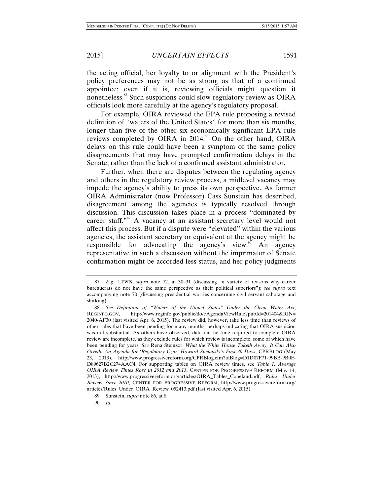the acting official, her loyalty to or alignment with the President's policy preferences may not be as strong as that of a confirmed appointee; even if it is, reviewing officials might question it nonetheless.<sup>87</sup> Such suspicions could slow regulatory review as OIRA officials look more carefully at the agency's regulatory proposal.

For example, OIRA reviewed the EPA rule proposing a revised definition of "waters of the United States" for more than six months, longer than five of the other six economically significant EPA rule reviews completed by OIRA in 2014.<sup>88</sup> On the other hand, OIRA delays on this rule could have been a symptom of the same policy disagreements that may have prompted confirmation delays in the Senate, rather than the lack of a confirmed assistant administrator.

Further, when there are disputes between the regulating agency and others in the regulatory review process, a midlevel vacancy may impede the agency's ability to press its own perspective. As former OIRA Administrator (now Professor) Cass Sunstein has described, disagreement among the agencies is typically resolved through discussion. This discussion takes place in a process "dominated by career staff."<sup>89</sup> A vacancy at an assistant secretary level would not affect this process. But if a dispute were "elevated" within the various agencies, the assistant secretary or equivalent at the agency might be responsible for advocating the agency's view.<sup>90</sup> An agency representative in such a discussion without the imprimatur of Senate confirmation might be accorded less status, and her policy judgments

 <sup>87.</sup> *E.g.*, LEWIS, *supra* note 72, at 30–31 (discussing "a variety of reasons why career bureaucrats do not have the same perspective as their political superiors"); *see supra* text accompanying note 70 (discussing presidential worries concerning civil servant sabotage and shirking).

 <sup>88.</sup> *See Definition of "Waters of the United States" Under the Clean Water Act*, REGINFO.GOV, http://www.reginfo.gov/public/do/eAgendaViewRule?pubId=201404&RIN= 2040-AF30 (last visited Apr. 6, 2015). The review did, however, take less time than reviews of other rules that have been pending for many months, perhaps indicating that OIRA suspicion was not substantial. As others have observed, data on the time required to complete OIRA review are incomplete, as they exclude rules for which review is incomplete, some of which have been pending for years. *See* Rena Steinzor, *What the White House Taketh Away, It Can Also Giveth: An Agenda for 'Regulatory Czar' Howard Shelanski's First 30 Days*, CPRBLOG (May 23, 2013), http://www.progressivereform.org/CPRBlog.cfm?idBlog=D1D07F71-99BB-9B0F-D89627B2C274AAC4. For supporting tables on OIRA review times, see *Table 1: Average OIRA Review Times Rose in 2012 and 2013*, CENTER FOR PROGRESSIVE REFORM (May 14, 2013), http://www.progressivereform.org/articles/OIRA\_Tables\_Copeland.pdf; *Rules Under Review Since 2010*, CENTER FOR PROGRESSIVE REFORM, http://www.progressivereform.org/ articles/Rules\_Under\_OIRA\_Review\_052413.pdf (last visited Apr. 6, 2015).

 <sup>89.</sup> Sunstein, *supra* note 86, at 8.

 <sup>90.</sup> *Id.*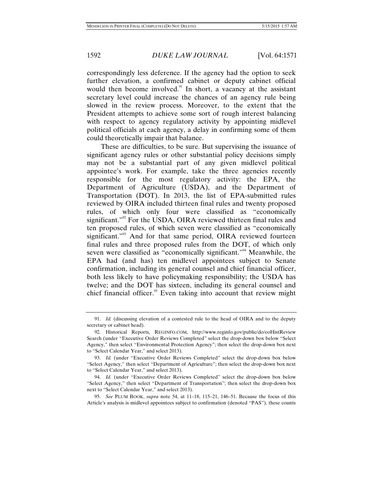correspondingly less deference. If the agency had the option to seek further elevation, a confirmed cabinet or deputy cabinet official would then become involved. $91$  In short, a vacancy at the assistant secretary level could increase the chances of an agency rule being slowed in the review process. Moreover, to the extent that the President attempts to achieve some sort of rough interest balancing with respect to agency regulatory activity by appointing midlevel political officials at each agency, a delay in confirming some of them could theoretically impair that balance.

These are difficulties, to be sure. But supervising the issuance of significant agency rules or other substantial policy decisions simply may not be a substantial part of any given midlevel political appointee's work. For example, take the three agencies recently responsible for the most regulatory activity: the EPA, the Department of Agriculture (USDA), and the Department of Transportation (DOT). In 2013, the list of EPA-submitted rules reviewed by OIRA included thirteen final rules and twenty proposed rules, of which only four were classified as "economically significant."<sup>92</sup> For the USDA, OIRA reviewed thirteen final rules and ten proposed rules, of which seven were classified as "economically significant."<sup>93</sup> And for that same period, OIRA reviewed fourteen final rules and three proposed rules from the DOT, of which only seven were classified as "economically significant."<sup>94</sup> Meanwhile, the EPA had (and has) ten midlevel appointees subject to Senate confirmation, including its general counsel and chief financial officer, both less likely to have policymaking responsibility; the USDA has twelve; and the DOT has sixteen, including its general counsel and chief financial officer.<sup>95</sup> Even taking into account that review might

 <sup>91.</sup> *Id.* (discussing elevation of a contested rule to the head of OIRA and to the deputy secretary or cabinet head).

 <sup>92.</sup> Historical Reports, REGINFO.COM, http://www.reginfo.gov/public/do/eoHistReview Search (under "Executive Order Reviews Completed" select the drop-down box below "Select Agency," then select "Environmental Protection Agency"; then select the drop-down box next to "Select Calendar Year," and select 2013).

 <sup>93.</sup> *Id.* (under "Executive Order Reviews Completed" select the drop-down box below "Select Agency," then select "Department of Agriculture"; then select the drop-down box next to "Select Calendar Year," and select 2013).

 <sup>94.</sup> *Id.* (under "Executive Order Reviews Completed" select the drop-down box below "Select Agency," then select "Department of Transportation"; then select the drop-down box next to "Select Calendar Year," and select 2013).

 <sup>95.</sup> *See* PLUM BOOK, *supra* note 54, at 11–18, 115–21, 146–51. Because the focus of this Article's analysis is midlevel appointees subject to confirmation (denoted "PAS"), these counts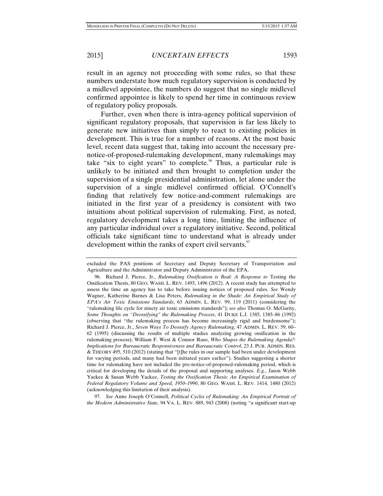result in an agency not proceeding with some rules, so that these numbers understate how much regulatory supervision is conducted by a midlevel appointee, the numbers do suggest that no single midlevel confirmed appointee is likely to spend her time in continuous review of regulatory policy proposals.

Further, even when there is intra-agency political supervision of significant regulatory proposals, that supervision is far less likely to generate new initiatives than simply to react to existing policies in development. This is true for a number of reasons. At the most basic level, recent data suggest that, taking into account the necessary prenotice-of-proposed-rulemaking development, many rulemakings may take "six to eight years" to complete. <sup> $\frac{1}{2}$ </sup> Thus, a particular rule is unlikely to be initiated and then brought to completion under the supervision of a single presidential administration, let alone under the supervision of a single midlevel confirmed official. O'Connell's finding that relatively few notice-and-comment rulemakings are initiated in the first year of a presidency is consistent with two intuitions about political supervision of rulemaking. First, as noted, regulatory development takes a long time, limiting the influence of any particular individual over a regulatory initiative. Second, political officials take significant time to understand what is already under development within the ranks of expert civil servants.<sup>97</sup>

 97. *See* Anne Joseph O'Connell, *Political Cycles of Rulemaking: An Empirical Portrait of the Modern Administrative State*, 94 VA. L. REV. 889, 943 (2008) (noting "a significant start-up

excluded the PAS positions of Secretary and Deputy Secretary of Transportation and Agriculture and the Administrator and Deputy Administrator of the EPA.

 <sup>96.</sup> Richard J. Pierce, Jr., *Rulemaking Ossification is Real: A Response to* Testing the Ossification Thesis, 80 GEO. WASH. L. REV. 1493, 1496 (2012). A recent study has attempted to assess the time an agency has to take before issuing notices of proposed rules. *See* Wendy Wagner, Katherine Barnes & Lisa Peters, *Rulemaking in the Shade: An Empirical Study of EPA's Air Toxic Emissions Standards*, 63 ADMIN. L. REV. 99, 119 (2011) (considering the "rulemaking life cycle for ninety air toxic emissions standards"); *see also* Thomas O. McGarity, *Some Thoughts on "Deossifying" the Rulemaking Process*, 41 DUKE L.J. 1385, 1385–86 (1992) (observing that "the rulemaking process has become increasingly rigid and burdensome"); Richard J. Pierce, Jr., *Seven Ways To Deossify Agency Rulemaking*, 47 ADMIN. L. REV. 59, 60– 62 (1995) (discussing the results of multiple studies analyzing growing ossification in the rulemaking process); William F. West & Connor Raso, *Who Shapes the Rulemaking Agenda?: Implications for Bureaucratic Responsiveness and Bureaucratic Control*, 23 J. PUB. ADMIN. RES. & THEORY 495, 510 (2012) (stating that "[t]he rules in our sample had been under development for varying periods, and many had been initiated years earlier"). Studies suggesting a shorter time for rulemaking have not included the pre-notice-of-proposed-rulemaking period, which is critical for developing the details of the proposal and supporting analyses. *E.g.*, Jason Webb Yackee & Susan Webb Yackee, *Testing the Ossification Thesis: An Empirical Examination of Federal Regulatory Volume and Speed, 1950–1990*, 80 GEO. WASH. L. REV. 1414, 1480 (2012) (acknowledging this limitation of their analysis).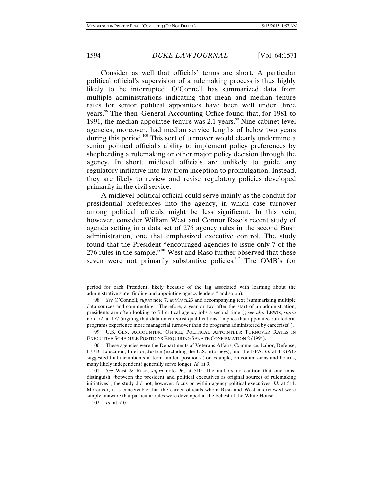Consider as well that officials' terms are short. A particular political official's supervision of a rulemaking process is thus highly likely to be interrupted. O'Connell has summarized data from multiple administrations indicating that mean and median tenure rates for senior political appointees have been well under three years.<sup>98</sup> The then–General Accounting Office found that, for 1981 to 1991, the median appointee tenure was  $2.1$  years.<sup>99</sup> Nine cabinet-level agencies, moreover, had median service lengths of below two years during this period.<sup>100</sup> This sort of turnover would clearly undermine a senior political official's ability to implement policy preferences by shepherding a rulemaking or other major policy decision through the agency. In short, midlevel officials are unlikely to guide any regulatory initiative into law from inception to promulgation. Instead, they are likely to review and revise regulatory policies developed primarily in the civil service.

A midlevel political official could serve mainly as the conduit for presidential preferences into the agency, in which case turnover among political officials might be less significant. In this vein, however, consider William West and Connor Raso's recent study of agenda setting in a data set of 276 agency rules in the second Bush administration, one that emphasized executive control. The study found that the President "encouraged agencies to issue only 7 of the 276 rules in the sample."<sup>101</sup> West and Raso further observed that these seven were not primarily substantive policies.<sup>102</sup> The OMB's (or

period for each President, likely because of the lag associated with learning about the administrative state, finding and appointing agency leaders," and so on).

 <sup>98.</sup> *See* O'Connell, *supra* note 7, at 919 n.23 and accompanying text (summarizing multiple data sources and commenting, "Therefore, a year or two after the start of an administration, presidents are often looking to fill critical agency jobs a second time"); *see also* LEWIS, *supra* note 72, at 177 (arguing that data on careerist qualifications "implies that appointee-run federal programs experience more managerial turnover than do programs administered by careerists").

 <sup>99.</sup> U.S. GEN. ACCOUNTING OFFICE, POLITICAL APPOINTEES: TURNOVER RATES IN EXECUTIVE SCHEDULE POSITIONS REQUIRING SENATE CONFIRMATION 2 (1994).

 <sup>100.</sup> These agencies were the Departments of Veterans Affairs, Commerce, Labor, Defense, HUD, Education, Interior, Justice (excluding the U.S. attorneys), and the EPA. *Id.* at 4. GAO suggested that incumbents in term-limited positions (for example, on commissions and boards, many likely independent) generally serve longer. *Id.* at 9.

 <sup>101.</sup> *See* West & Raso, *supra* note 96, at 510. The authors do caution that one must distinguish "between the president and political executives as original sources of rulemaking initiatives"; the study did not, however, focus on within-agency political executives. *Id.* at 511. Moreover, it is conceivable that the career officials whom Raso and West interviewed were simply unaware that particular rules were developed at the behest of the White House.

 <sup>102.</sup> *Id.* at 510.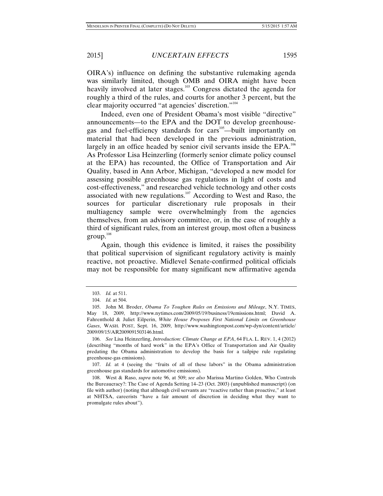OIRA's) influence on defining the substantive rulemaking agenda was similarly limited, though OMB and OIRA might have been heavily involved at later stages.<sup>103</sup> Congress dictated the agenda for roughly a third of the rules, and courts for another 3 percent, but the clear majority occurred "at agencies' discretion."<sup>104</sup>

Indeed, even one of President Obama's most visible "directive" announcements—to the EPA and the DOT to develop greenhousegas and fuel-efficiency standards for cars<sup>105</sup>—built importantly on material that had been developed in the previous administration, largely in an office headed by senior civil servants inside the  $EPA$ .<sup>106</sup> As Professor Lisa Heinzerling (formerly senior climate policy counsel at the EPA) has recounted, the Office of Transportation and Air Quality, based in Ann Arbor, Michigan, "developed a new model for assessing possible greenhouse gas regulations in light of costs and cost-effectiveness," and researched vehicle technology and other costs associated with new regulations.<sup>107</sup> According to West and Raso, the sources for particular discretionary rule proposals in their multiagency sample were overwhelmingly from the agencies themselves, from an advisory committee, or, in the case of roughly a third of significant rules, from an interest group, most often a business  $\text{group.}^{108}$ 

Again, though this evidence is limited, it raises the possibility that political supervision of significant regulatory activity is mainly reactive, not proactive. Midlevel Senate-confirmed political officials may not be responsible for many significant new affirmative agenda

 107. *Id.* at 4 (seeing the "fruits of all of these labors" in the Obama administration greenhouse gas standards for automotive emissions).

 108. West & Raso, *supra* note 96, at 509; *see also* Marissa Martino Golden, Who Controls the Bureaucracy?: The Case of Agenda Setting 14–23 (Oct. 2003) (unpublished manuscript) (on file with author) (noting that although civil servants are "reactive rather than proactive," at least at NHTSA, careerists "have a fair amount of discretion in deciding what they want to promulgate rules about").

 <sup>103.</sup> *Id.* at 511.

 <sup>104.</sup> *Id.* at 504.

 <sup>105.</sup> John M. Broder, *Obama To Toughen Rules on Emissions and Mileage*, N.Y. TIMES, May 18, 2009, http://www.nytimes.com/2009/05/19/business/19emissions.html; David A. Fahrenthold & Juliet Eilperin, *White House Proposes First National Limits on Greenhouse Gases*, WASH. POST, Sept. 16, 2009, http://www.washingtonpost.com/wp-dyn/content/article/ 2009/09/15/AR2009091503146.html.

 <sup>106.</sup> *See* Lisa Heinzerling, *Introduction: Climate Change at EPA*, 64 FLA. L. REV. 1, 4 (2012) (describing "months of hard work" in the EPA's Office of Transportation and Air Quality predating the Obama administration to develop the basis for a tailpipe rule regulating greenhouse-gas emissions).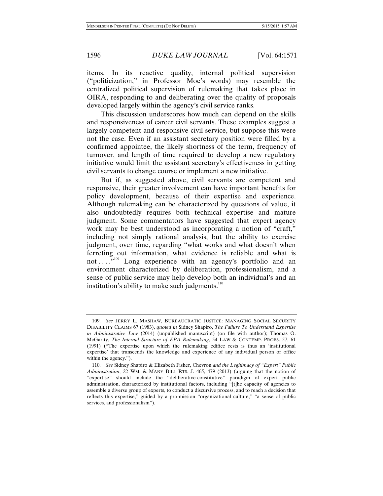items. In its reactive quality, internal political supervision ("politicization," in Professor Moe's words) may resemble the centralized political supervision of rulemaking that takes place in OIRA, responding to and deliberating over the quality of proposals developed largely within the agency's civil service ranks.

This discussion underscores how much can depend on the skills and responsiveness of career civil servants. These examples suggest a largely competent and responsive civil service, but suppose this were not the case. Even if an assistant secretary position were filled by a confirmed appointee, the likely shortness of the term, frequency of turnover, and length of time required to develop a new regulatory initiative would limit the assistant secretary's effectiveness in getting civil servants to change course or implement a new initiative.

But if, as suggested above, civil servants are competent and responsive, their greater involvement can have important benefits for policy development, because of their expertise and experience. Although rulemaking can be characterized by questions of value, it also undoubtedly requires both technical expertise and mature judgment. Some commentators have suggested that expert agency work may be best understood as incorporating a notion of "craft," including not simply rational analysis, but the ability to exercise judgment, over time, regarding "what works and what doesn't when ferreting out information, what evidence is reliable and what is not . . .<sup>"109</sup> Long experience with an agency's portfolio and an environment characterized by deliberation, professionalism, and a sense of public service may help develop both an individual's and an institution's ability to make such judgments.<sup>110</sup>

 <sup>109.</sup> *See* JERRY L. MASHAW, BUREAUCRATIC JUSTICE: MANAGING SOCIAL SECURITY DISABILITY CLAIMS 67 (1983), *quoted in* Sidney Shapiro, *The Failure To Understand Expertise in Administrative Law* (2014) (unpublished manuscript) (on file with author); Thomas O. McGarity, *The Internal Structure of EPA Rulemaking*, 54 LAW & CONTEMP. PROBS. 57, 61 (1991) ("The expertise upon which the rulemaking edifice rests is thus an 'institutional expertise' that transcends the knowledge and experience of any individual person or office within the agency.").

 <sup>110.</sup> *See* Sidney Shapiro & Elizabeth Fisher, Chevron *and the Legitimacy of "Expert" Public Administration*, 22 WM. & MARY BILL RTS. J. 465, 479 (2013) (arguing that the notion of "expertise" should include the "deliberative-constitutive" paradigm of expert public administration, characterized by institutional factors, including "[t]he capacity of agencies to assemble a diverse group of experts, to conduct a discursive process, and to reach a decision that reflects this expertise," guided by a pro-mission "organizational culture," "a sense of public services, and professionalism").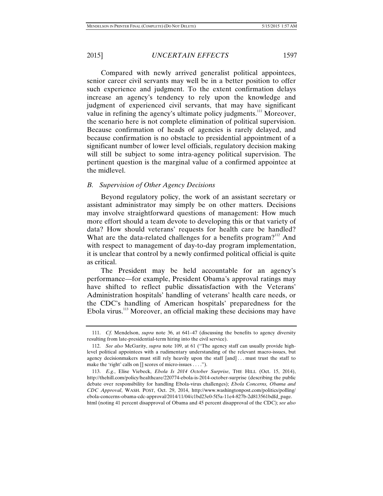Compared with newly arrived generalist political appointees, senior career civil servants may well be in a better position to offer such experience and judgment. To the extent confirmation delays increase an agency's tendency to rely upon the knowledge and judgment of experienced civil servants, that may have significant value in refining the agency's ultimate policy judgments.<sup>111</sup> Moreover, the scenario here is not complete elimination of political supervision. Because confirmation of heads of agencies is rarely delayed, and because confirmation is no obstacle to presidential appointment of a significant number of lower level officials, regulatory decision making will still be subject to some intra-agency political supervision. The pertinent question is the marginal value of a confirmed appointee at the midlevel.

#### *B. Supervision of Other Agency Decisions*

Beyond regulatory policy, the work of an assistant secretary or assistant administrator may simply be on other matters. Decisions may involve straightforward questions of management: How much more effort should a team devote to developing this or that variety of data? How should veterans' requests for health care be handled? What are the data-related challenges for a benefits program? $112$  And with respect to management of day-to-day program implementation, it is unclear that control by a newly confirmed political official is quite as critical.

The President may be held accountable for an agency's performance—for example, President Obama's approval ratings may have shifted to reflect public dissatisfaction with the Veterans' Administration hospitals' handling of veterans' health care needs, or the CDC's handling of American hospitals' preparedness for the Ebola virus.113 Moreover, an official making these decisions may have

 <sup>111.</sup> *Cf.* Mendelson, *supra* note 36, at 641–47 (discussing the benefits to agency diversity resulting from late-presidential-term hiring into the civil service).

 <sup>112.</sup> *See also* McGarity, *supra* note 109, at 61 ("The agency staff can usually provide highlevel political appointees with a rudimentary understanding of the relevant macro-issues, but agency decisionmakers must still rely heavily upon the staff [and] . . . must trust the staff to make the 'right' calls on [] scores of micro-issues . . . .").

 <sup>113.</sup> *E.g.*, Elise Viebeck, *Ebola Is 2014 October Surprise*, THE HILL (Oct. 15, 2014), http://thehill.com/policy/healthcare/220774-ebola-is-2014-october-surprise (describing the public debate over responsibility for handling Ebola-virus challenges); *Ebola Concerns, Obama and CDC Approval*, WASH. POST, Oct. 29, 2014, http://www.washingtonpost.com/politics/polling/ ebola-concerns-obama-cdc-approval/2014/11/04/c1bd23e0-5f5a-11e4-827b-2d813561bdfd\_page. html (noting 41 percent disapproval of Obama and 45 percent disapproval of the CDC); *see also*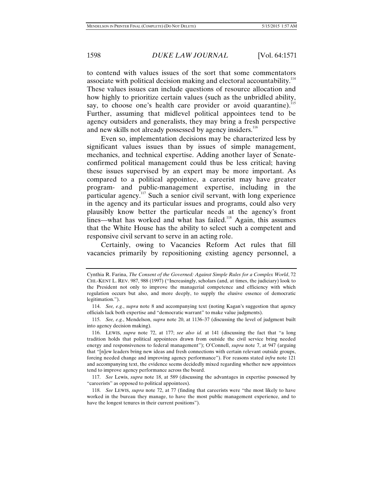to contend with values issues of the sort that some commentators associate with political decision making and electoral accountability. $114$ These values issues can include questions of resource allocation and how highly to prioritize certain values (such as the unbridled ability, say, to choose one's health care provider or avoid quarantine).<sup>115</sup> Further, assuming that midlevel political appointees tend to be agency outsiders and generalists, they may bring a fresh perspective and new skills not already possessed by agency insiders.<sup>116</sup>

Even so, implementation decisions may be characterized less by significant values issues than by issues of simple management, mechanics, and technical expertise. Adding another layer of Senateconfirmed political management could thus be less critical; having these issues supervised by an expert may be more important. As compared to a political appointee, a careerist may have greater program- and public-management expertise, including in the particular agency.<sup>117</sup> Such a senior civil servant, with long experience in the agency and its particular issues and programs, could also very plausibly know better the particular needs at the agency's front lines—what has worked and what has failed.<sup>118</sup> Again, this assumes that the White House has the ability to select such a competent and responsive civil servant to serve in an acting role.

Certainly, owing to Vacancies Reform Act rules that fill vacancies primarily by repositioning existing agency personnel, a

Cynthia R. Farina, *The Consent of the Governed: Against Simple Rules for a Complex World*, 72 CHI.-KENT L. REV. 987, 988 (1997) ("Increasingly, scholars (and, at times, the judiciary) look to the President not only to improve the managerial competence and efficiency with which regulation occurs but also, and more deeply, to supply the elusive essence of democratic legitimation.").

 <sup>114.</sup> *See, e.g.*, *supra* note 8 and accompanying text (noting Kagan's suggestion that agency officials lack both expertise and "democratic warrant" to make value judgments).

 <sup>115.</sup> *See, e.g.*, Mendelson, *supra* note 20, at 1136–37 (discussing the level of judgment built into agency decision making).

 <sup>116.</sup> LEWIS, *supra* note 72, at 177; *see also id.* at 141 (discussing the fact that "a long tradition holds that political appointees drawn from outside the civil service bring needed energy and responsiveness to federal management"); O'Connell, *supra* note 7, at 947 (arguing that "[n]ew leaders bring new ideas and fresh connections with certain relevant outside groups, forcing needed change and improving agency performance"). For reasons stated *infra* note 121 and accompanying text, the evidence seems decidedly mixed regarding whether new appointees tend to improve agency performance across the board.

 <sup>117.</sup> *See* Lewis, *supra* note 18, at 589 (discussing the advantages in expertise possessed by "careerists" as opposed to political appointees).

 <sup>118.</sup> *See* LEWIS, *supra* note 72, at 77 (finding that careerists were "the most likely to have worked in the bureau they manage, to have the most public management experience, and to have the longest tenures in their current positions").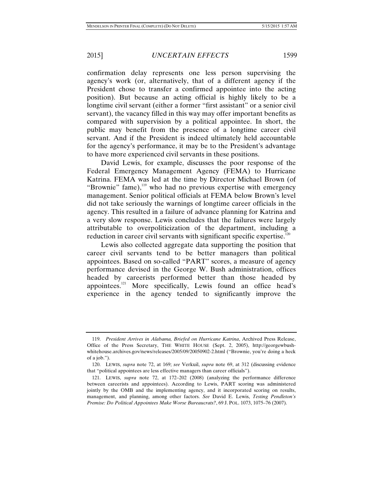confirmation delay represents one less person supervising the agency's work (or, alternatively, that of a different agency if the President chose to transfer a confirmed appointee into the acting position). But because an acting official is highly likely to be a longtime civil servant (either a former "first assistant" or a senior civil servant), the vacancy filled in this way may offer important benefits as compared with supervision by a political appointee. In short, the public may benefit from the presence of a longtime career civil servant. And if the President is indeed ultimately held accountable for the agency's performance, it may be to the President's advantage to have more experienced civil servants in these positions.

David Lewis, for example, discusses the poor response of the Federal Emergency Management Agency (FEMA) to Hurricane Katrina. FEMA was led at the time by Director Michael Brown (of "Brownie" fame), $119$  who had no previous expertise with emergency management. Senior political officials at FEMA below Brown's level did not take seriously the warnings of longtime career officials in the agency. This resulted in a failure of advance planning for Katrina and a very slow response. Lewis concludes that the failures were largely attributable to overpoliticization of the department, including a reduction in career civil servants with significant specific expertise.<sup>120</sup>

Lewis also collected aggregate data supporting the position that career civil servants tend to be better managers than political appointees. Based on so-called "PART" scores, a measure of agency performance devised in the George W. Bush administration, offices headed by careerists performed better than those headed by appointees.121 More specifically, Lewis found an office head's experience in the agency tended to significantly improve the

 <sup>119.</sup> *President Arrives in Alabama, Briefed on Hurricane Katrina*, Archived Press Release, Office of the Press Secretary, THE WHITE HOUSE (Sept. 2, 2005), http://georgewbushwhitehouse.archives.gov/news/releases/2005/09/20050902-2.html ("Brownie, you're doing a heck of a job.").

 <sup>120.</sup> LEWIS, *supra* note 72, at 169; *see* Verkuil, *supra* note 69, at 312 (discussing evidence that "political appointees are less effective managers than career officials").

 <sup>121.</sup> LEWIS, *supra* note 72, at 172–202 (2008) (analyzing the performance difference between careerists and appointees). According to Lewis, PART scoring was administered jointly by the OMB and the implementing agency, and it incorporated scoring on results, management, and planning, among other factors. *See* David E. Lewis, *Testing Pendleton's Premise: Do Political Appointees Make Worse Bureaucrats?*, 69 J. POL. 1073, 1075–76 (2007).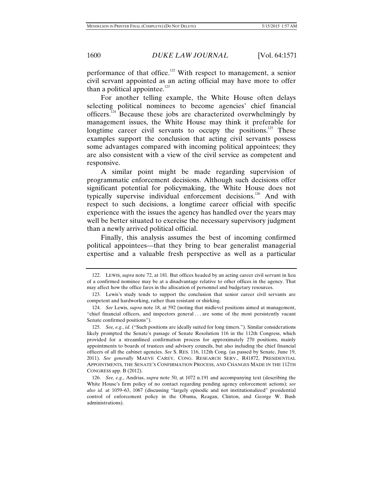performance of that office.<sup>122</sup> With respect to management, a senior civil servant appointed as an acting official may have more to offer than a political appointee. $123$ 

For another telling example, the White House often delays selecting political nominees to become agencies' chief financial officers.124 Because these jobs are characterized overwhelmingly by management issues, the White House may think it preferable for longtime career civil servants to occupy the positions.<sup>125</sup> These examples support the conclusion that acting civil servants possess some advantages compared with incoming political appointees; they are also consistent with a view of the civil service as competent and responsive.

A similar point might be made regarding supervision of programmatic enforcement decisions. Although such decisions offer significant potential for policymaking, the White House does not typically supervise individual enforcement decisions.<sup>126</sup> And with respect to such decisions, a longtime career official with specific experience with the issues the agency has handled over the years may well be better situated to exercise the necessary supervisory judgment than a newly arrived political official.

Finally, this analysis assumes the best of incoming confirmed political appointees—that they bring to bear generalist managerial expertise and a valuable fresh perspective as well as a particular

 <sup>122.</sup> LEWIS, *supra* note 72, at 181. But offices headed by an acting career civil servant in lieu of a confirmed nominee may be at a disadvantage relative to other offices in the agency. That may affect how the office fares in the allocation of personnel and budgetary resources.

 <sup>123.</sup> Lewis's study tends to support the conclusion that senior career civil servants are competent and hardworking, rather than resistant or shirking.

 <sup>124.</sup> *See* Lewis, *supra* note 18, at 592 (noting that midlevel positions aimed at management, "chief financial officers, and inspectors general . . . are some of the most persistently vacant Senate confirmed positions").

 <sup>125.</sup> *See, e.g.*, *id.* ("Such positions are ideally suited for long timers."). Similar considerations likely prompted the Senate's passage of Senate Resolution 116 in the 112th Congress, which provided for a streamlined confirmation process for approximately 270 positions, mainly appointments to boards of trustees and advisory councils, but also including the chief financial officers of all the cabinet agencies. *See* S. RES. 116, 112th Cong. (as passed by Senate, June 19, 2011). *See generally* MAEVE CAREY, CONG. RESEARCH SERV., R41872, PRESIDENTIAL APPOINTMENTS, THE SENATE'S CONFIRMATION PROCESS, AND CHANGES MADE IN THE 112TH CONGRESS app. B (2012).

 <sup>126.</sup> *See, e.g.*, Andrias, *supra* note 50, at 1072 n.191 and accompanying text (describing the White House's firm policy of no contact regarding pending agency enforcement actions); *see also id.* at 1059–63, 1067 (discussing "largely episodic and not institutionalized" presidential control of enforcement policy in the Obama, Reagan, Clinton, and George W. Bush administrations).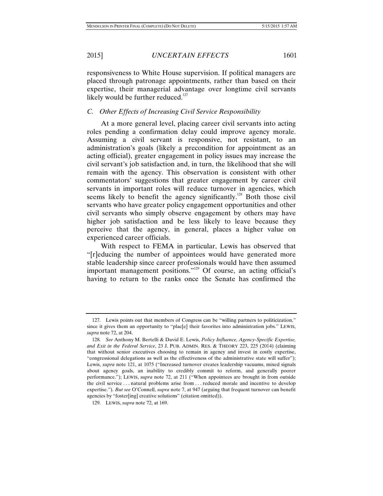responsiveness to White House supervision. If political managers are placed through patronage appointments, rather than based on their expertise, their managerial advantage over longtime civil servants likely would be further reduced. $127$ 

#### *C. Other Effects of Increasing Civil Service Responsibility*

At a more general level, placing career civil servants into acting roles pending a confirmation delay could improve agency morale. Assuming a civil servant is responsive, not resistant, to an administration's goals (likely a precondition for appointment as an acting official), greater engagement in policy issues may increase the civil servant's job satisfaction and, in turn, the likelihood that she will remain with the agency. This observation is consistent with other commentators' suggestions that greater engagement by career civil servants in important roles will reduce turnover in agencies, which seems likely to benefit the agency significantly.<sup>128</sup> Both those civil servants who have greater policy engagement opportunities and other civil servants who simply observe engagement by others may have higher job satisfaction and be less likely to leave because they perceive that the agency, in general, places a higher value on experienced career officials.

With respect to FEMA in particular, Lewis has observed that "[r]educing the number of appointees would have generated more stable leadership since career professionals would have then assumed important management positions."129 Of course, an acting official's having to return to the ranks once the Senate has confirmed the

 <sup>127.</sup> Lewis points out that members of Congress can be "willing partners to politicization," since it gives them an opportunity to "plac[e] their favorites into administration jobs." LEWIS, *supra* note 72, at 204.

 <sup>128.</sup> *See* Anthony M. Bertelli & David E. Lewis, *Policy Influence, Agency-Specific Expertise, and Exit in the Federal Service*, 23 J. PUB. ADMIN. RES. & THEORY 223, 225 (2014) (claiming that without senior executives choosing to remain in agency and invest in costly expertise, "congressional delegations as well as the effectiveness of the administrative state will suffer"); Lewis, *supra* note 121, at 1075 ("Increased turnover creates leadership vacuums, mixed signals about agency goals, an inability to credibly commit to reform, and generally poorer performance."); LEWIS, *supra* note 72, at 211 ("When appointees are brought in from outside the civil service . . . natural problems arise from . . . reduced morale and incentive to develop expertise."). *But see* O'Connell, *supra* note 7, at 947 (arguing that frequent turnover can benefit agencies by "foster[ing] creative solutions" (citation omitted)).

 <sup>129.</sup> LEWIS, *supra* note 72, at 169.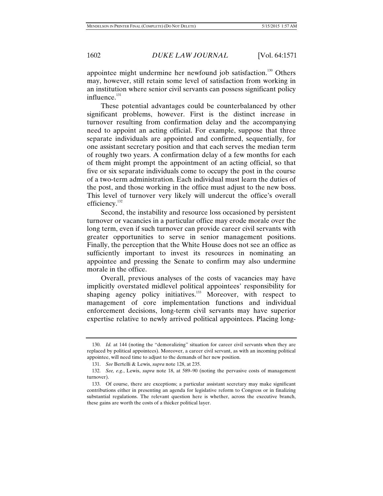appointee might undermine her newfound job satisfaction.<sup>130</sup> Others may, however, still retain some level of satisfaction from working in an institution where senior civil servants can possess significant policy influence. $131$ 

These potential advantages could be counterbalanced by other significant problems, however. First is the distinct increase in turnover resulting from confirmation delay and the accompanying need to appoint an acting official. For example, suppose that three separate individuals are appointed and confirmed, sequentially, for one assistant secretary position and that each serves the median term of roughly two years. A confirmation delay of a few months for each of them might prompt the appointment of an acting official, so that five or six separate individuals come to occupy the post in the course of a two-term administration. Each individual must learn the duties of the post, and those working in the office must adjust to the new boss. This level of turnover very likely will undercut the office's overall efficiency.<sup>132</sup>

Second, the instability and resource loss occasioned by persistent turnover or vacancies in a particular office may erode morale over the long term, even if such turnover can provide career civil servants with greater opportunities to serve in senior management positions. Finally, the perception that the White House does not see an office as sufficiently important to invest its resources in nominating an appointee and pressing the Senate to confirm may also undermine morale in the office.

Overall, previous analyses of the costs of vacancies may have implicitly overstated midlevel political appointees' responsibility for shaping agency policy initiatives.<sup>133</sup> Moreover, with respect to management of core implementation functions and individual enforcement decisions, long-term civil servants may have superior expertise relative to newly arrived political appointees. Placing long-

 <sup>130.</sup> *Id.* at 144 (noting the "demoralizing" situation for career civil servants when they are replaced by political appointees). Moreover, a career civil servant, as with an incoming political appointee, will need time to adjust to the demands of her new position.

 <sup>131.</sup> *See* Bertelli & Lewis, *supra* note 128, at 235.

 <sup>132.</sup> *See, e.g.*, Lewis, *supra* note 18, at 589–90 (noting the pervasive costs of management turnover).

 <sup>133.</sup> Of course, there are exceptions; a particular assistant secretary may make significant contributions either in presenting an agenda for legislative reform to Congress or in finalizing substantial regulations. The relevant question here is whether, across the executive branch, these gains are worth the costs of a thicker political layer.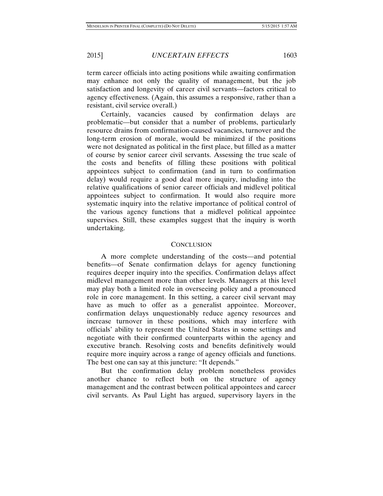term career officials into acting positions while awaiting confirmation may enhance not only the quality of management, but the job satisfaction and longevity of career civil servants—factors critical to agency effectiveness. (Again, this assumes a responsive, rather than a resistant, civil service overall.)

Certainly, vacancies caused by confirmation delays are problematic—but consider that a number of problems, particularly resource drains from confirmation-caused vacancies, turnover and the long-term erosion of morale, would be minimized if the positions were not designated as political in the first place, but filled as a matter of course by senior career civil servants. Assessing the true scale of the costs and benefits of filling these positions with political appointees subject to confirmation (and in turn to confirmation delay) would require a good deal more inquiry, including into the relative qualifications of senior career officials and midlevel political appointees subject to confirmation. It would also require more systematic inquiry into the relative importance of political control of the various agency functions that a midlevel political appointee supervises. Still, these examples suggest that the inquiry is worth undertaking.

#### **CONCLUSION**

A more complete understanding of the costs—and potential benefits—of Senate confirmation delays for agency functioning requires deeper inquiry into the specifics. Confirmation delays affect midlevel management more than other levels. Managers at this level may play both a limited role in overseeing policy and a pronounced role in core management. In this setting, a career civil servant may have as much to offer as a generalist appointee. Moreover, confirmation delays unquestionably reduce agency resources and increase turnover in these positions, which may interfere with officials' ability to represent the United States in some settings and negotiate with their confirmed counterparts within the agency and executive branch. Resolving costs and benefits definitively would require more inquiry across a range of agency officials and functions. The best one can say at this juncture: "It depends."

But the confirmation delay problem nonetheless provides another chance to reflect both on the structure of agency management and the contrast between political appointees and career civil servants. As Paul Light has argued, supervisory layers in the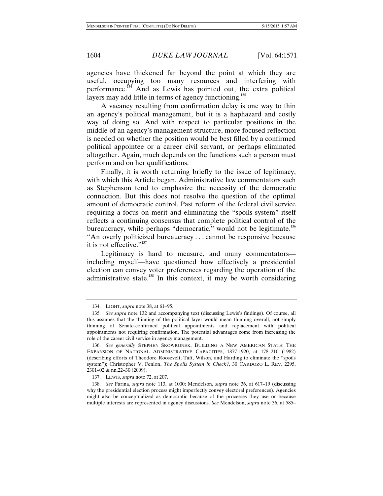agencies have thickened far beyond the point at which they are useful, occupying too many resources and interfering with performance.134 And as Lewis has pointed out, the extra political layers may add little in terms of agency functioning.<sup>135</sup>

A vacancy resulting from confirmation delay is one way to thin an agency's political management, but it is a haphazard and costly way of doing so. And with respect to particular positions in the middle of an agency's management structure, more focused reflection is needed on whether the position would be best filled by a confirmed political appointee or a career civil servant, or perhaps eliminated altogether. Again, much depends on the functions such a person must perform and on her qualifications.

Finally, it is worth returning briefly to the issue of legitimacy, with which this Article began. Administrative law commentators such as Stephenson tend to emphasize the necessity of the democratic connection. But this does not resolve the question of the optimal amount of democratic control. Past reform of the federal civil service requiring a focus on merit and eliminating the "spoils system" itself reflects a continuing consensus that complete political control of the bureaucracy, while perhaps "democratic," would not be legitimate.<sup>136</sup> "An overly politicized bureaucracy . . . cannot be responsive because it is not effective."<sup>137</sup>

Legitimacy is hard to measure, and many commentators including myself—have questioned how effectively a presidential election can convey voter preferences regarding the operation of the administrative state.<sup>138</sup> In this context, it may be worth considering

 <sup>134.</sup> LIGHT, *supra* note 38, at 61–95.

 <sup>135.</sup> *See supra* note 132 and accompanying text (discussing Lewis's findings). Of course, all this assumes that the thinning of the political layer would mean thinning overall, not simply thinning of Senate-confirmed political appointments and replacement with political appointments not requiring confirmation. The potential advantages come from increasing the role of the career civil service in agency management.

 <sup>136.</sup> *See generally* STEPHEN SKOWRONEK, BUILDING A NEW AMERICAN STATE: THE EXPANSION OF NATIONAL ADMINISTRATIVE CAPACITIES, 1877-1920, at 178–210 (1982) (describing efforts of Theodore Roosevelt, Taft, Wilson, and Harding to eliminate the "spoils system"); Christopher V. Fenlon, *The Spoils System in Check*?, 30 CARDOZO L. REV. 2295, 2301–02 & nn.22–30 (2009).

 <sup>137.</sup> LEWIS, *supra* note 72, at 207.

 <sup>138.</sup> *See* Farina, *supra* note 113, at 1000; Mendelson, *supra* note 36, at 617–19 (discussing why the presidential election process might imperfectly convey electoral preferences). Agencies might also be conceptualized as democratic because of the processes they use or because multiple interests are represented in agency discussions. *See* Mendelson, *supra* note 36, at 585–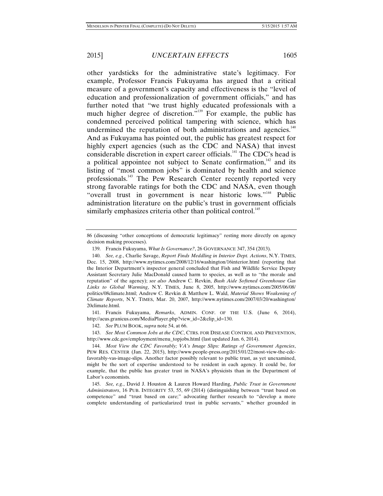other yardsticks for the administrative state's legitimacy. For example, Professor Francis Fukuyama has argued that a critical measure of a government's capacity and effectiveness is the "level of education and professionalization of government officials," and has further noted that "we trust highly educated professionals with a much higher degree of discretion."<sup>139</sup> For example, the public has condemned perceived political tampering with science, which has undermined the reputation of both administrations and agencies.<sup>140</sup> And as Fukuyama has pointed out, the public has greatest respect for highly expert agencies (such as the CDC and NASA) that invest considerable discretion in expert career officials.<sup>141</sup> The CDC's head is a political appointee not subject to Senate confirmation, $142$  and its listing of "most common jobs" is dominated by health and science professionals.143 The Pew Research Center recently reported very strong favorable ratings for both the CDC and NASA, even though "overall trust in government is near historic lows."<sup>144</sup> Public administration literature on the public's trust in government officials similarly emphasizes criteria other than political control.<sup>145</sup>

 141. Francis Fukuyama, *Remarks*, ADMIN. CONF. OF THE U.S. (June 6, 2014), http://acus.granicus.com/MediaPlayer.php?view\_id=2&clip\_id=130.

 143. *See Most Common Jobs at the CDC*, CTRS. FOR DISEASE CONTROL AND PREVENTION, http://www.cdc.gov/employment/menu\_topjobs.html (last updated Jan. 6, 2014).

<sup>86 (</sup>discussing "other conceptions of democratic legitimacy" resting more directly on agency decision making processes).

 <sup>139.</sup> Francis Fukuyama, *What Is Governance?*, 26 GOVERNANCE 347, 354 (2013).

 <sup>140.</sup> *See, e.g.*, Charlie Savage, *Report Finds Meddling in Interior Dept. Actions*, N.Y. TIMES, Dec. 15, 2008, http://www.nytimes.com/2008/12/16/washington/16interior.html (reporting that the Interior Department's inspector general concluded that Fish and Wildlife Service Deputy Assistant Secretary Julie MacDonald caused harm to species, as well as to "the morale and reputation" of the agency); *see also* Andrew C. Revkin, *Bush Aide Softened Greenhouse Gas Links to Global Warming*, N.Y. TIMES, June 8, 2005, http://www.nytimes.com/2005/06/08/ politics/08climate.html; Andrew C. Revkin & Matthew L. Wald, *Material Shows Weakening of Climate Reports*, N.Y. TIMES, Mar. 20, 2007, http://www.nytimes.com/2007/03/20/washington/ 20climate.html.

 <sup>142.</sup> *See* PLUM BOOK, *supra* note 54, at 66.

 <sup>144.</sup> *Most View the CDC Favorably; VA's Image Slips: Ratings of Government Agencies*, PEW RES. CENTER (Jan. 22, 2015), http://www.people-press.org/2015/01/22/most-view-the-cdcfavorably-vas-image-slips. Another factor possibly relevant to public trust, as yet unexamined, might be the sort of expertise understood to be resident in each agency. It could be, for example, that the public has greater trust in NASA's physicists than in the Department of Labor's economists.

 <sup>145.</sup> *See, e.g.*, David J. Houston & Lauren Howard Harding, *Public Trust in Government Administrators*, 16 PUB. INTEGRITY 53, 55, 69 (2014) (distinguishing between "trust based on competence" and "trust based on care;" advocating further research to "develop a more complete understanding of particularized trust in public servants," whether grounded in